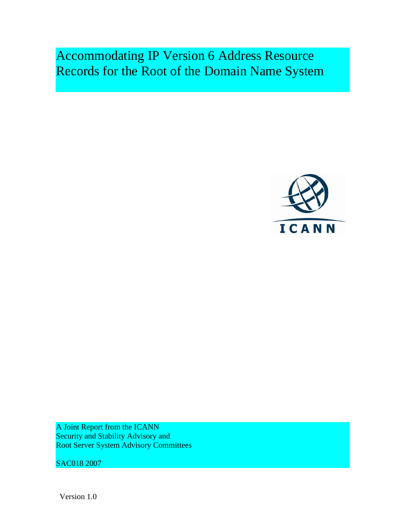Accommodating IP Version 6 Address Resource Records for the Root of the Domain Name System



A Joint Report from the ICANN Security and Stability Advisory and Root Server System Advisory Committees

SAC018 2007

Version 1.0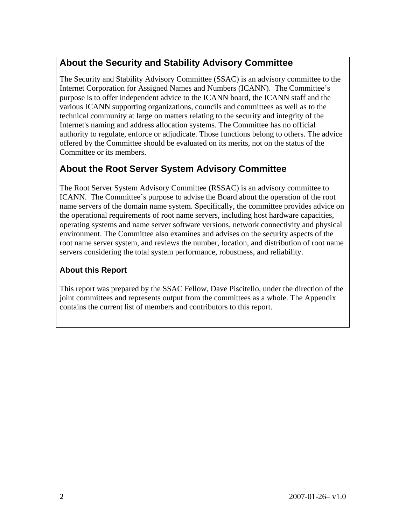## **About the Security and Stability Advisory Committee**

The Security and Stability Advisory Committee (SSAC) is an advisory committee to the Internet Corporation for Assigned Names and Numbers (ICANN). The Committee's purpose is to offer independent advice to the ICANN board, the ICANN staff and the various ICANN supporting organizations, councils and committees as well as to the technical community at large on matters relating to the security and integrity of the Internet's naming and address allocation systems. The Committee has no official authority to regulate, enforce or adjudicate. Those functions belong to others. The advice offered by the Committee should be evaluated on its merits, not on the status of the Committee or its members.

## **About the Root Server System Advisory Committee**

The Root Server System Advisory Committee (RSSAC) is an advisory committee to ICANN. The Committee's purpose to advise the Board about the operation of the root name servers of the domain name system. Specifically, the committee provides advice on the operational requirements of root name servers, including host hardware capacities, operating systems and name server software versions, network connectivity and physical environment. The Committee also examines and advises on the security aspects of the root name server system, and reviews the number, location, and distribution of root name servers considering the total system performance, robustness, and reliability.

#### **About this Report**

This report was prepared by the SSAC Fellow, Dave Piscitello, under the direction of the joint committees and represents output from the committees as a whole. The Appendix contains the current list of members and contributors to this report.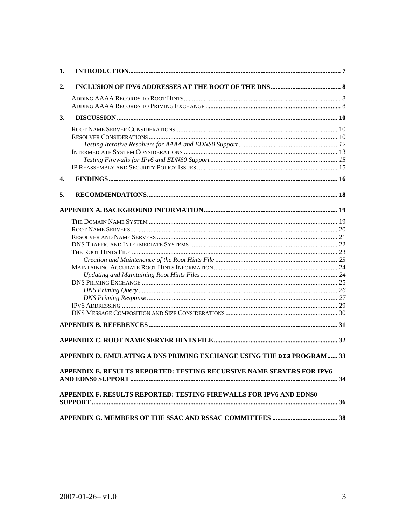| 1.                                                                    |  |
|-----------------------------------------------------------------------|--|
| 2.                                                                    |  |
|                                                                       |  |
|                                                                       |  |
| 3.                                                                    |  |
|                                                                       |  |
|                                                                       |  |
|                                                                       |  |
|                                                                       |  |
|                                                                       |  |
|                                                                       |  |
| 4.                                                                    |  |
| 5.                                                                    |  |
|                                                                       |  |
|                                                                       |  |
|                                                                       |  |
|                                                                       |  |
|                                                                       |  |
|                                                                       |  |
|                                                                       |  |
|                                                                       |  |
|                                                                       |  |
|                                                                       |  |
|                                                                       |  |
|                                                                       |  |
|                                                                       |  |
|                                                                       |  |
|                                                                       |  |
|                                                                       |  |
| APPENDIX D. EMULATING A DNS PRIMING EXCHANGE USING THE DIG PROGRAM 33 |  |
| APPENDIX E. RESULTS REPORTED: TESTING RECURSIVE NAME SERVERS FOR IPV6 |  |
| APPENDIX F. RESULTS REPORTED: TESTING FIREWALLS FOR IPV6 AND EDNS0    |  |
|                                                                       |  |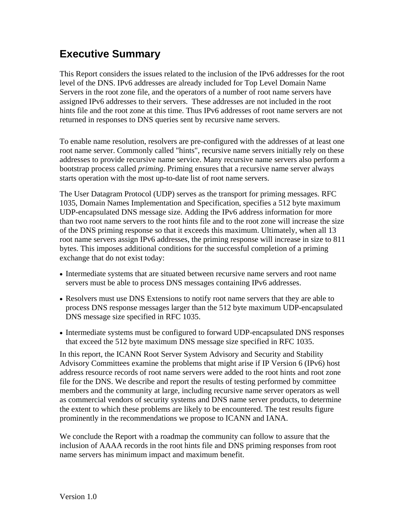# **Executive Summary**

This Report considers the issues related to the inclusion of the IPv6 addresses for the root level of the DNS. IPv6 addresses are already included for Top Level Domain Name Servers in the root zone file, and the operators of a number of root name servers have assigned IPv6 addresses to their servers. These addresses are not included in the root hints file and the root zone at this time. Thus IPv6 addresses of root name servers are not returned in responses to DNS queries sent by recursive name servers.

To enable name resolution, resolvers are pre-configured with the addresses of at least one root name server. Commonly called "hints", recursive name servers initially rely on these addresses to provide recursive name service. Many recursive name servers also perform a bootstrap process called *priming*. Priming ensures that a recursive name server always starts operation with the most up-to-date list of root name servers.

The User Datagram Protocol (UDP) serves as the transport for priming messages. RFC 1035, Domain Names Implementation and Specification, specifies a 512 byte maximum UDP-encapsulated DNS message size. Adding the IPv6 address information for more than two root name servers to the root hints file and to the root zone will increase the size of the DNS priming response so that it exceeds this maximum. Ultimately, when all 13 root name servers assign IPv6 addresses, the priming response will increase in size to 811 bytes. This imposes additional conditions for the successful completion of a priming exchange that do not exist today:

- Intermediate systems that are situated between recursive name servers and root name servers must be able to process DNS messages containing IPv6 addresses.
- Resolvers must use DNS Extensions to notify root name servers that they are able to process DNS response messages larger than the 512 byte maximum UDP-encapsulated DNS message size specified in RFC 1035.
- Intermediate systems must be configured to forward UDP-encapsulated DNS responses that exceed the 512 byte maximum DNS message size specified in RFC 1035.

In this report, the ICANN Root Server System Advisory and Security and Stability Advisory Committees examine the problems that might arise if IP Version 6 (IPv6) host address resource records of root name servers were added to the root hints and root zone file for the DNS. We describe and report the results of testing performed by committee members and the community at large, including recursive name server operators as well as commercial vendors of security systems and DNS name server products, to determine the extent to which these problems are likely to be encountered. The test results figure prominently in the recommendations we propose to ICANN and IANA.

We conclude the Report with a roadmap the community can follow to assure that the inclusion of AAAA records in the root hints file and DNS priming responses from root name servers has minimum impact and maximum benefit.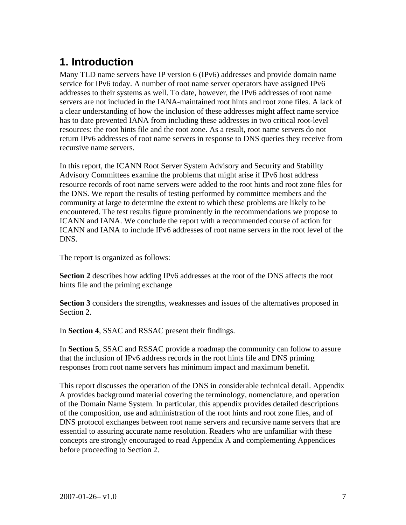# **1. Introduction**

Many TLD name servers have IP version 6 (IPv6) addresses and provide domain name service for IPv6 today. A number of root name server operators have assigned IPv6 addresses to their systems as well. To date, however, the IPv6 addresses of root name servers are not included in the IANA-maintained root hints and root zone files. A lack of a clear understanding of how the inclusion of these addresses might affect name service has to date prevented IANA from including these addresses in two critical root-level resources: the root hints file and the root zone. As a result, root name servers do not return IPv6 addresses of root name servers in response to DNS queries they receive from recursive name servers.

In this report, the ICANN Root Server System Advisory and Security and Stability Advisory Committees examine the problems that might arise if IPv6 host address resource records of root name servers were added to the root hints and root zone files for the DNS. We report the results of testing performed by committee members and the community at large to determine the extent to which these problems are likely to be encountered. The test results figure prominently in the recommendations we propose to ICANN and IANA. We conclude the report with a recommended course of action for ICANN and IANA to include IPv6 addresses of root name servers in the root level of the DNS.

The report is organized as follows:

**Section 2** describes how adding IPv6 addresses at the root of the DNS affects the root hints file and the priming exchange

**Section 3** considers the strengths, weaknesses and issues of the alternatives proposed in Section 2.

In **Section 4**, SSAC and RSSAC present their findings.

In **Section 5**, SSAC and RSSAC provide a roadmap the community can follow to assure that the inclusion of IPv6 address records in the root hints file and DNS priming responses from root name servers has minimum impact and maximum benefit.

This report discusses the operation of the DNS in considerable technical detail. Appendix A provides background material covering the terminology, nomenclature, and operation of the Domain Name System. In particular, this appendix provides detailed descriptions of the composition, use and administration of the root hints and root zone files, and of DNS protocol exchanges between root name servers and recursive name servers that are essential to assuring accurate name resolution. Readers who are unfamiliar with these concepts are strongly encouraged to read Appendix A and complementing Appendices before proceeding to Section 2.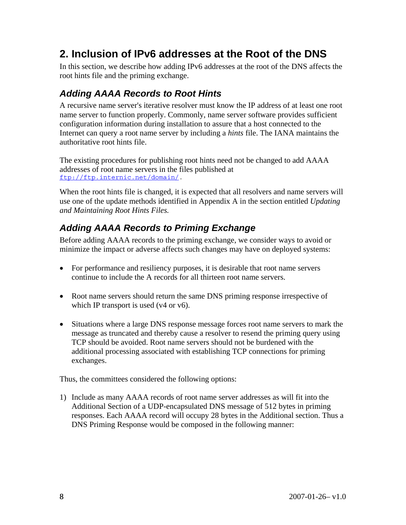# **2. Inclusion of IPv6 addresses at the Root of the DNS**

In this section, we describe how adding IPv6 addresses at the root of the DNS affects the root hints file and the priming exchange.

## *Adding AAAA Records to Root Hints*

A recursive name server's iterative resolver must know the IP address of at least one root name server to function properly. Commonly, name server software provides sufficient configuration information during installation to assure that a host connected to the Internet can query a root name server by including a *hints* file. The IANA maintains the authoritative root hints file.

The existing procedures for publishing root hints need not be changed to add AAAA addresses of root name servers in the files published at ftp://ftp.internic.net/domain/.

When the root hints file is changed, it is expected that all resolvers and name servers will use one of the update methods identified in Appendix A in the section entitled *Updating and Maintaining Root Hints Files.*

## *Adding AAAA Records to Priming Exchange*

Before adding AAAA records to the priming exchange, we consider ways to avoid or minimize the impact or adverse affects such changes may have on deployed systems:

- For performance and resiliency purposes, it is desirable that root name servers continue to include the A records for all thirteen root name servers.
- Root name servers should return the same DNS priming response irrespective of which IP transport is used (v4 or v6).
- Situations where a large DNS response message forces root name servers to mark the message as truncated and thereby cause a resolver to resend the priming query using TCP should be avoided. Root name servers should not be burdened with the additional processing associated with establishing TCP connections for priming exchanges.

Thus, the committees considered the following options:

1) Include as many AAAA records of root name server addresses as will fit into the Additional Section of a UDP-encapsulated DNS message of 512 bytes in priming responses. Each AAAA record will occupy 28 bytes in the Additional section. Thus a DNS Priming Response would be composed in the following manner: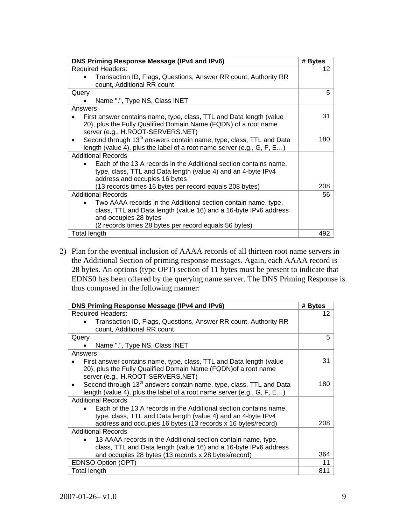| DNS Priming Response Message (IPv4 and IPv6)                                                                                                                           | # Bytes |
|------------------------------------------------------------------------------------------------------------------------------------------------------------------------|---------|
| <b>Required Headers:</b>                                                                                                                                               | 12      |
| Transaction ID, Flags, Questions, Answer RR count, Authority RR<br>count, Additional RR count                                                                          |         |
| Query                                                                                                                                                                  | 5       |
| Name ".", Type NS, Class INET                                                                                                                                          |         |
| Answers:                                                                                                                                                               |         |
| First answer contains name, type, class, TTL and Data length (value<br>20), plus the Fully Qualified Domain Name (FQDN) of a root name                                 | 31      |
| server (e.g., H.ROOT-SERVERS.NET)                                                                                                                                      |         |
| Second through 13 <sup>th</sup> answers contain name, type, class, TTL and Data<br>$\bullet$<br>length (value 4), plus the label of a root name server (e.g., G, F, E) | 180     |
| <b>Additional Records</b>                                                                                                                                              |         |
| Each of the 13 A records in the Additional section contains name,<br>type, class, TTL and Data length (value 4) and an 4-byte IPv4<br>address and occupies 16 bytes    |         |
| (13 records times 16 bytes per record equals 208 bytes)                                                                                                                | 208     |
| <b>Additional Records</b>                                                                                                                                              | 56      |
| Two AAAA records in the Additional section contain name, type,<br>class, TTL and Data length (value 16) and a 16-byte IPv6 address<br>and occupies 28 bytes            |         |
| (2 records times 28 bytes per record equals 56 bytes)                                                                                                                  |         |
| Total length                                                                                                                                                           | 492.    |

2) Plan for the eventual inclusion of AAAA records of all thirteen root name servers in the Additional Section of priming response messages. Again, each AAAA record is 28 bytes. An options (type OPT) section of 11 bytes must be present to indicate that EDNS0 has been offered by the querying name server. The DNS Priming Response is thus composed in the following manner:

| DNS Priming Response Message (IPv4 and IPv6)                                                  | # Bytes |
|-----------------------------------------------------------------------------------------------|---------|
| <b>Required Headers:</b>                                                                      | 12      |
| Transaction ID, Flags, Questions, Answer RR count, Authority RR<br>count, Additional RR count |         |
| Query                                                                                         | 5       |
| Name ".", Type NS, Class INET                                                                 |         |
| Answers:                                                                                      |         |
| First answer contains name, type, class, TTL and Data length (value                           | 31      |
| 20), plus the Fully Qualified Domain Name (FQDN) of a root name                               |         |
| server (e.g., H.ROOT-SERVERS.NET)                                                             |         |
| Second through 13 <sup>th</sup> answers contain name, type, class, TTL and Data<br>$\bullet$  | 180     |
| length (value 4), plus the label of a root name server (e.g., G, F, E)                        |         |
| <b>Additional Records</b>                                                                     |         |
| Each of the 13 A records in the Additional section contains name,                             |         |
| type, class, TTL and Data length (value 4) and an 4-byte IPv4                                 |         |
| address and occupies 16 bytes (13 records x 16 bytes/record)                                  | 208     |
| <b>Additional Records</b>                                                                     |         |
| 13 AAAA records in the Additional section contain name, type,                                 |         |
| class, TTL and Data length (value 16) and a 16-byte IPv6 address                              |         |
| and occupies 28 bytes (13 records x 28 bytes/record)                                          | 364     |
| EDNSO Option (OPT)                                                                            | 11      |
| Total length                                                                                  | 811     |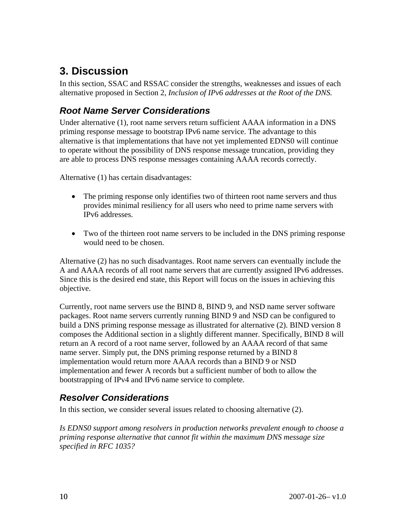# **3. Discussion**

In this section, SSAC and RSSAC consider the strengths, weaknesses and issues of each alternative proposed in Section 2*, Inclusion of IPv6 addresses at the Root of the DNS.*

## *Root Name Server Considerations*

Under alternative (1), root name servers return sufficient AAAA information in a DNS priming response message to bootstrap IPv6 name service. The advantage to this alternative is that implementations that have not yet implemented EDNS0 will continue to operate without the possibility of DNS response message truncation, providing they are able to process DNS response messages containing AAAA records correctly.

Alternative (1) has certain disadvantages:

- The priming response only identifies two of thirteen root name servers and thus provides minimal resiliency for all users who need to prime name servers with IPv6 addresses.
- Two of the thirteen root name servers to be included in the DNS priming response would need to be chosen.

Alternative (2) has no such disadvantages. Root name servers can eventually include the A and AAAA records of all root name servers that are currently assigned IPv6 addresses. Since this is the desired end state, this Report will focus on the issues in achieving this objective.

Currently, root name servers use the BIND 8, BIND 9, and NSD name server software packages. Root name servers currently running BIND 9 and NSD can be configured to build a DNS priming response message as illustrated for alternative (2). BIND version 8 composes the Additional section in a slightly different manner. Specifically, BIND 8 will return an A record of a root name server, followed by an AAAA record of that same name server. Simply put, the DNS priming response returned by a BIND 8 implementation would return more AAAA records than a BIND 9 or NSD implementation and fewer A records but a sufficient number of both to allow the bootstrapping of IPv4 and IPv6 name service to complete.

#### *Resolver Considerations*

In this section, we consider several issues related to choosing alternative (2).

*Is EDNS0 support among resolvers in production networks prevalent enough to choose a priming response alternative that cannot fit within the maximum DNS message size specified in RFC 1035?*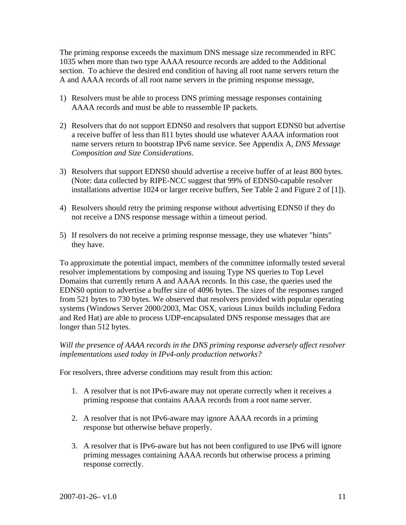The priming response exceeds the maximum DNS message size recommended in RFC 1035 when more than two type AAAA resource records are added to the Additional section. To achieve the desired end condition of having all root name servers return the A and AAAA records of all root name servers in the priming response message,

- 1) Resolvers must be able to process DNS priming message responses containing AAAA records and must be able to reassemble IP packets.
- 2) Resolvers that do not support EDNS0 and resolvers that support EDNS0 but advertise a receive buffer of less than 811 bytes should use whatever AAAA information root name servers return to bootstrap IPv6 name service. See Appendix A, *DNS Message Composition and Size Considerations*.
- 3) Resolvers that support EDNS0 should advertise a receive buffer of at least 800 bytes. (Note: data collected by RIPE-NCC suggest that 99% of EDNS0-capable resolver installations advertise 1024 or larger receive buffers, See Table 2 and Figure 2 of [1]).
- 4) Resolvers should retry the priming response without advertising EDNS0 if they do not receive a DNS response message within a timeout period.
- 5) If resolvers do not receive a priming response message, they use whatever "hints" they have.

To approximate the potential impact, members of the committee informally tested several resolver implementations by composing and issuing Type NS queries to Top Level Domains that currently return A and AAAA records. In this case, the queries used the EDNS0 option to advertise a buffer size of 4096 bytes. The sizes of the responses ranged from 521 bytes to 730 bytes. We observed that resolvers provided with popular operating systems (Windows Server 2000/2003, Mac OSX, various Linux builds including Fedora and Red Hat) are able to process UDP-encapsulated DNS response messages that are longer than 512 bytes.

*Will the presence of AAAA records in the DNS priming response adversely affect resolver implementations used today in IPv4-only production networks?* 

For resolvers, three adverse conditions may result from this action:

- 1. A resolver that is not IPv6-aware may not operate correctly when it receives a priming response that contains AAAA records from a root name server.
- 2. A resolver that is not IPv6-aware may ignore AAAA records in a priming response but otherwise behave properly.
- 3. A resolver that is IPv6-aware but has not been configured to use IPv6 will ignore priming messages containing AAAA records but otherwise process a priming response correctly.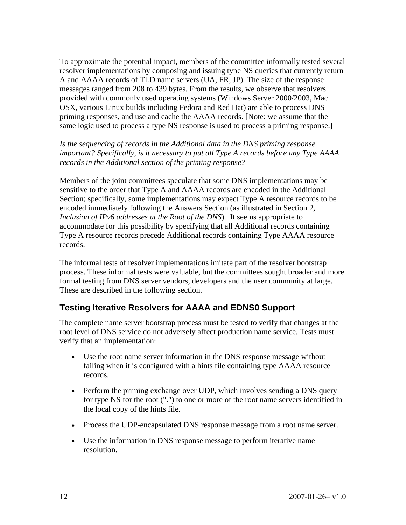To approximate the potential impact, members of the committee informally tested several resolver implementations by composing and issuing type NS queries that currently return A and AAAA records of TLD name servers (UA, FR, JP). The size of the response messages ranged from 208 to 439 bytes. From the results, we observe that resolvers provided with commonly used operating systems (Windows Server 2000/2003, Mac OSX, various Linux builds including Fedora and Red Hat) are able to process DNS priming responses, and use and cache the AAAA records. [Note: we assume that the same logic used to process a type NS response is used to process a priming response.]

*Is the sequencing of records in the Additional data in the DNS priming response important? Specifically, is it necessary to put all Type A records before any Type AAAA records in the Additional section of the priming response?* 

Members of the joint committees speculate that some DNS implementations may be sensitive to the order that Type A and AAAA records are encoded in the Additional Section; specifically, some implementations may expect Type A resource records to be encoded immediately following the Answers Section (as illustrated in Section 2*, Inclusion of IPv6 addresses at the Root of the DNS*). It seems appropriate to accommodate for this possibility by specifying that all Additional records containing Type A resource records precede Additional records containing Type AAAA resource records.

The informal tests of resolver implementations imitate part of the resolver bootstrap process. These informal tests were valuable, but the committees sought broader and more formal testing from DNS server vendors, developers and the user community at large. These are described in the following section.

#### **Testing Iterative Resolvers for AAAA and EDNS0 Support**

The complete name server bootstrap process must be tested to verify that changes at the root level of DNS service do not adversely affect production name service. Tests must verify that an implementation:

- Use the root name server information in the DNS response message without failing when it is configured with a hints file containing type AAAA resource records.
- Perform the priming exchange over UDP, which involves sending a DNS query for type NS for the root (".") to one or more of the root name servers identified in the local copy of the hints file.
- Process the UDP-encapsulated DNS response message from a root name server.
- Use the information in DNS response message to perform iterative name resolution.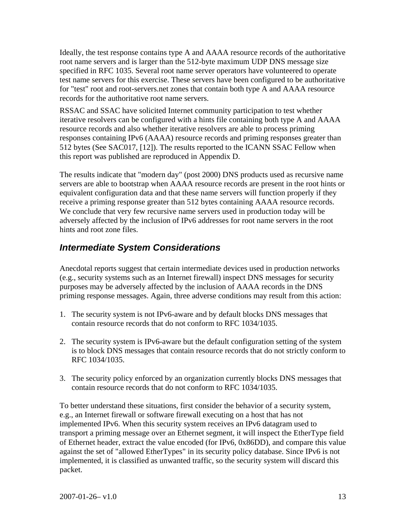Ideally, the test response contains type A and AAAA resource records of the authoritative root name servers and is larger than the 512-byte maximum UDP DNS message size specified in RFC 1035. Several root name server operators have volunteered to operate test name servers for this exercise. These servers have been configured to be authoritative for "test" root and root-servers.net zones that contain both type A and AAAA resource records for the authoritative root name servers.

RSSAC and SSAC have solicited Internet community participation to test whether iterative resolvers can be configured with a hints file containing both type A and AAAA resource records and also whether iterative resolvers are able to process priming responses containing IPv6 (AAAA) resource records and priming responses greater than 512 bytes (See SAC017, [12]). The results reported to the ICANN SSAC Fellow when this report was published are reproduced in Appendix D.

The results indicate that "modern day" (post 2000) DNS products used as recursive name servers are able to bootstrap when AAAA resource records are present in the root hints or equivalent configuration data and that these name servers will function properly if they receive a priming response greater than 512 bytes containing AAAA resource records. We conclude that very few recursive name servers used in production today will be adversely affected by the inclusion of IPv6 addresses for root name servers in the root hints and root zone files.

## *Intermediate System Considerations*

Anecdotal reports suggest that certain intermediate devices used in production networks (e.g., security systems such as an Internet firewall) inspect DNS messages for security purposes may be adversely affected by the inclusion of AAAA records in the DNS priming response messages. Again, three adverse conditions may result from this action:

- 1. The security system is not IPv6-aware and by default blocks DNS messages that contain resource records that do not conform to RFC 1034/1035.
- 2. The security system is IPv6-aware but the default configuration setting of the system is to block DNS messages that contain resource records that do not strictly conform to RFC 1034/1035.
- 3. The security policy enforced by an organization currently blocks DNS messages that contain resource records that do not conform to RFC 1034/1035.

To better understand these situations, first consider the behavior of a security system, e.g., an Internet firewall or software firewall executing on a host that has not implemented IPv6. When this security system receives an IPv6 datagram used to transport a priming message over an Ethernet segment, it will inspect the EtherType field of Ethernet header, extract the value encoded (for IPv6, 0x86DD), and compare this value against the set of "allowed EtherTypes" in its security policy database. Since IPv6 is not implemented, it is classified as unwanted traffic, so the security system will discard this packet.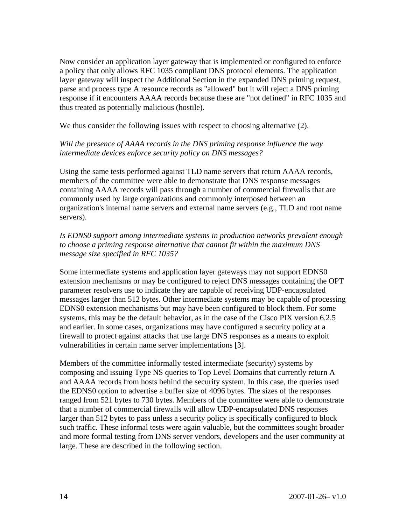Now consider an application layer gateway that is implemented or configured to enforce a policy that only allows RFC 1035 compliant DNS protocol elements. The application layer gateway will inspect the Additional Section in the expanded DNS priming request, parse and process type A resource records as "allowed" but it will reject a DNS priming response if it encounters AAAA records because these are "not defined" in RFC 1035 and thus treated as potentially malicious (hostile).

We thus consider the following issues with respect to choosing alternative (2).

#### *Will the presence of AAAA records in the DNS priming response influence the way intermediate devices enforce security policy on DNS messages?*

Using the same tests performed against TLD name servers that return AAAA records, members of the committee were able to demonstrate that DNS response messages containing AAAA records will pass through a number of commercial firewalls that are commonly used by large organizations and commonly interposed between an organization's internal name servers and external name servers (e.g., TLD and root name servers).

*Is EDNS0 support among intermediate systems in production networks prevalent enough to choose a priming response alternative that cannot fit within the maximum DNS message size specified in RFC 1035?*

Some intermediate systems and application layer gateways may not support EDNS0 extension mechanisms or may be configured to reject DNS messages containing the OPT parameter resolvers use to indicate they are capable of receiving UDP-encapsulated messages larger than 512 bytes. Other intermediate systems may be capable of processing EDNS0 extension mechanisms but may have been configured to block them. For some systems, this may be the default behavior, as in the case of the Cisco PIX version 6.2.5 and earlier. In some cases, organizations may have configured a security policy at a firewall to protect against attacks that use large DNS responses as a means to exploit vulnerabilities in certain name server implementations [3].

Members of the committee informally tested intermediate (security) systems by composing and issuing Type NS queries to Top Level Domains that currently return A and AAAA records from hosts behind the security system. In this case, the queries used the EDNS0 option to advertise a buffer size of 4096 bytes. The sizes of the responses ranged from 521 bytes to 730 bytes. Members of the committee were able to demonstrate that a number of commercial firewalls will allow UDP-encapsulated DNS responses larger than 512 bytes to pass unless a security policy is specifically configured to block such traffic. These informal tests were again valuable, but the committees sought broader and more formal testing from DNS server vendors, developers and the user community at large. These are described in the following section.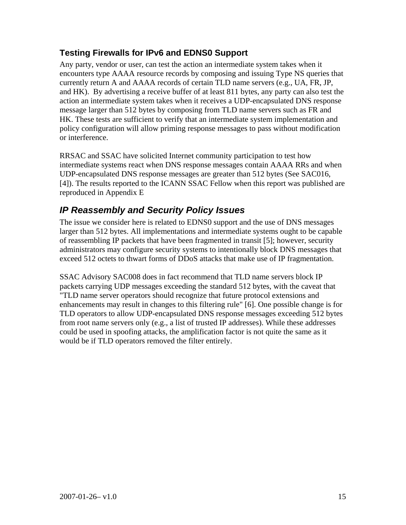#### **Testing Firewalls for IPv6 and EDNS0 Support**

Any party, vendor or user, can test the action an intermediate system takes when it encounters type AAAA resource records by composing and issuing Type NS queries that currently return A and AAAA records of certain TLD name servers (e.g., UA, FR, JP, and HK). By advertising a receive buffer of at least 811 bytes, any party can also test the action an intermediate system takes when it receives a UDP-encapsulated DNS response message larger than 512 bytes by composing from TLD name servers such as FR and HK. These tests are sufficient to verify that an intermediate system implementation and policy configuration will allow priming response messages to pass without modification or interference.

RRSAC and SSAC have solicited Internet community participation to test how intermediate systems react when DNS response messages contain AAAA RRs and when UDP-encapsulated DNS response messages are greater than 512 bytes (See SAC016, [4]). The results reported to the ICANN SSAC Fellow when this report was published are reproduced in Appendix E

## *IP Reassembly and Security Policy Issues*

The issue we consider here is related to EDNS0 support and the use of DNS messages larger than 512 bytes. All implementations and intermediate systems ought to be capable of reassembling IP packets that have been fragmented in transit [5]; however, security administrators may configure security systems to intentionally block DNS messages that exceed 512 octets to thwart forms of DDoS attacks that make use of IP fragmentation.

SSAC Advisory SAC008 does in fact recommend that TLD name servers block IP packets carrying UDP messages exceeding the standard 512 bytes, with the caveat that "TLD name server operators should recognize that future protocol extensions and enhancements may result in changes to this filtering rule" [6]. One possible change is for TLD operators to allow UDP-encapsulated DNS response messages exceeding 512 bytes from root name servers only (e.g., a list of trusted IP addresses). While these addresses could be used in spoofing attacks, the amplification factor is not quite the same as it would be if TLD operators removed the filter entirely.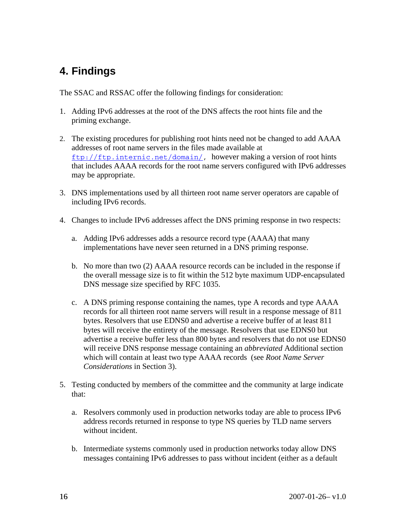# **4. Findings**

The SSAC and RSSAC offer the following findings for consideration:

- 1. Adding IPv6 addresses at the root of the DNS affects the root hints file and the priming exchange.
- 2. The existing procedures for publishing root hints need not be changed to add AAAA addresses of root name servers in the files made available at ftp://ftp.internic.net/domain/, however making a version of root hints that includes AAAA records for the root name servers configured with IPv6 addresses may be appropriate.
- 3. DNS implementations used by all thirteen root name server operators are capable of including IPv6 records.
- 4. Changes to include IPv6 addresses affect the DNS priming response in two respects:
	- a. Adding IPv6 addresses adds a resource record type (AAAA) that many implementations have never seen returned in a DNS priming response.
	- b. No more than two (2) AAAA resource records can be included in the response if the overall message size is to fit within the 512 byte maximum UDP-encapsulated DNS message size specified by RFC 1035.
	- c. A DNS priming response containing the names, type A records and type AAAA records for all thirteen root name servers will result in a response message of 811 bytes. Resolvers that use EDNS0 and advertise a receive buffer of at least 811 bytes will receive the entirety of the message. Resolvers that use EDNS0 but advertise a receive buffer less than 800 bytes and resolvers that do not use EDNS0 will receive DNS response message containing an *abbreviated* Additional section which will contain at least two type AAAA records (see *Root Name Server Considerations* in Section 3).
- 5. Testing conducted by members of the committee and the community at large indicate that:
	- a. Resolvers commonly used in production networks today are able to process IPv6 address records returned in response to type NS queries by TLD name servers without incident.
	- b. Intermediate systems commonly used in production networks today allow DNS messages containing IPv6 addresses to pass without incident (either as a default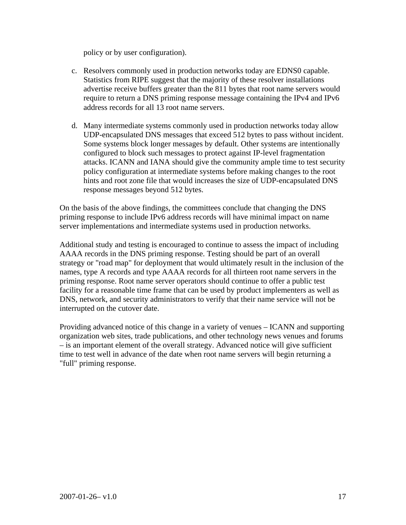policy or by user configuration).

- c. Resolvers commonly used in production networks today are EDNS0 capable. Statistics from RIPE suggest that the majority of these resolver installations advertise receive buffers greater than the 811 bytes that root name servers would require to return a DNS priming response message containing the IPv4 and IPv6 address records for all 13 root name servers.
- d. Many intermediate systems commonly used in production networks today allow UDP-encapsulated DNS messages that exceed 512 bytes to pass without incident. Some systems block longer messages by default. Other systems are intentionally configured to block such messages to protect against IP-level fragmentation attacks. ICANN and IANA should give the community ample time to test security policy configuration at intermediate systems before making changes to the root hints and root zone file that would increases the size of UDP-encapsulated DNS response messages beyond 512 bytes.

On the basis of the above findings, the committees conclude that changing the DNS priming response to include IPv6 address records will have minimal impact on name server implementations and intermediate systems used in production networks.

Additional study and testing is encouraged to continue to assess the impact of including AAAA records in the DNS priming response. Testing should be part of an overall strategy or "road map" for deployment that would ultimately result in the inclusion of the names, type A records and type AAAA records for all thirteen root name servers in the priming response. Root name server operators should continue to offer a public test facility for a reasonable time frame that can be used by product implementers as well as DNS, network, and security administrators to verify that their name service will not be interrupted on the cutover date.

Providing advanced notice of this change in a variety of venues – ICANN and supporting organization web sites, trade publications, and other technology news venues and forums – is an important element of the overall strategy. Advanced notice will give sufficient time to test well in advance of the date when root name servers will begin returning a "full" priming response.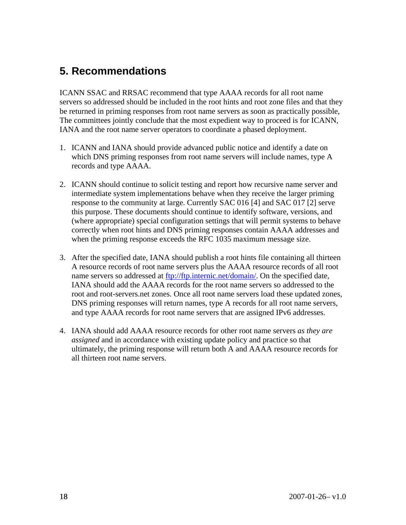# **5. Recommendations**

ICANN SSAC and RRSAC recommend that type AAAA records for all root name servers so addressed should be included in the root hints and root zone files and that they be returned in priming responses from root name servers as soon as practically possible, The committees jointly conclude that the most expedient way to proceed is for ICANN, IANA and the root name server operators to coordinate a phased deployment.

- 1. ICANN and IANA should provide advanced public notice and identify a date on which DNS priming responses from root name servers will include names, type A records and type AAAA.
- 2. ICANN should continue to solicit testing and report how recursive name server and intermediate system implementations behave when they receive the larger priming response to the community at large. Currently SAC 016 [4] and SAC 017 [2] serve this purpose. These documents should continue to identify software, versions, and (where appropriate) special configuration settings that will permit systems to behave correctly when root hints and DNS priming responses contain AAAA addresses and when the priming response exceeds the RFC 1035 maximum message size.
- 3. After the specified date, IANA should publish a root hints file containing all thirteen A resource records of root name servers plus the AAAA resource records of all root name servers so addressed at ftp://ftp.internic.net/domain/. On the specified date, IANA should add the AAAA records for the root name servers so addressed to the root and root-servers.net zones. Once all root name servers load these updated zones, DNS priming responses will return names, type A records for all root name servers, and type AAAA records for root name servers that are assigned IPv6 addresses.
- 4. IANA should add AAAA resource records for other root name servers *as they are assigned* and in accordance with existing update policy and practice so that ultimately, the priming response will return both A and AAAA resource records for all thirteen root name servers.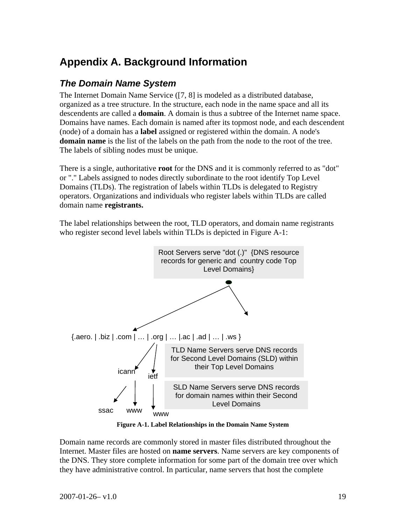# **Appendix A. Background Information**

#### *The Domain Name System*

The Internet Domain Name Service ([7, 8] is modeled as a distributed database, organized as a tree structure. In the structure, each node in the name space and all its descendents are called a **domain**. A domain is thus a subtree of the Internet name space. Domains have names. Each domain is named after its topmost node, and each descendent (node) of a domain has a **label** assigned or registered within the domain. A node's **domain name** is the list of the labels on the path from the node to the root of the tree. The labels of sibling nodes must be unique.

There is a single, authoritative **root** for the DNS and it is commonly referred to as "dot" or "." Labels assigned to nodes directly subordinate to the root identify Top Level Domains (TLDs). The registration of labels within TLDs is delegated to Registry operators. Organizations and individuals who register labels within TLDs are called domain name **registrants.**

The label relationships between the root, TLD operators, and domain name registrants who register second level labels within TLDs is depicted in Figure A-1:



**Figure A-1. Label Relationships in the Domain Name System** 

Domain name records are commonly stored in master files distributed throughout the Internet. Master files are hosted on **name servers**. Name servers are key components of the DNS. They store complete information for some part of the domain tree over which they have administrative control. In particular, name servers that host the complete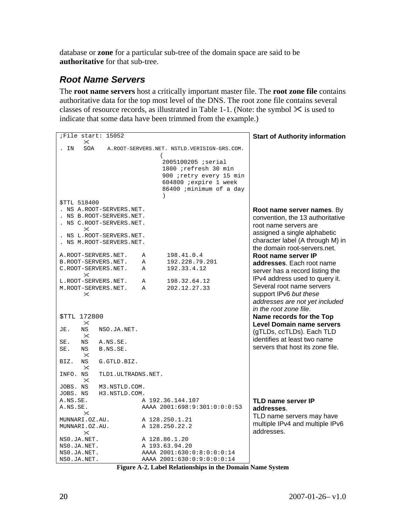database or **zone** for a particular sub-tree of the domain space are said to be **authoritative** for that sub-tree.

### *Root Name Servers*

The **root name servers** host a critically important master file. The **root zone file** contains authoritative data for the top most level of the DNS. The root zone file contains several classes of resource records, as illustrated in Table 1-1. (Note: the symbol  $\mathcal X$  is used to indicate that some data have been trimmed from the example.)

| File start: 15052<br>$\times$                                                                                                                                                                                                                                                                                                                                                                                      |                                                                                                                                                                                     | <b>Start of Authority information</b>                                                                                                                                                                                                                                                                                                                                                              |
|--------------------------------------------------------------------------------------------------------------------------------------------------------------------------------------------------------------------------------------------------------------------------------------------------------------------------------------------------------------------------------------------------------------------|-------------------------------------------------------------------------------------------------------------------------------------------------------------------------------------|----------------------------------------------------------------------------------------------------------------------------------------------------------------------------------------------------------------------------------------------------------------------------------------------------------------------------------------------------------------------------------------------------|
| SOA<br>IN                                                                                                                                                                                                                                                                                                                                                                                                          | A.ROOT-SERVERS.NET. NSTLD.VERISIGN-GRS.COM.                                                                                                                                         |                                                                                                                                                                                                                                                                                                                                                                                                    |
| <b>STTL 518400</b><br>. NS A.ROOT-SERVERS.NET.<br>. NS B.ROOT-SERVERS.NET.<br>NS C.ROOT-SERVERS.NET.<br>$\times$<br>NS L.ROOT-SERVERS.NET.<br>NS M.ROOT-SERVERS.NET.                                                                                                                                                                                                                                               | (<br>2005100205 ; serial<br>1800 ;refresh 30 min<br>900 ; retry every 15 min<br>604800 ; expire 1 week<br>86400 ; minimum of a day<br>$\lambda$                                     | Root name server names. By<br>convention, the 13 authoritative<br>root name servers are<br>assigned a single alphabetic<br>character label (A through M) in<br>the domain root-servers.net.                                                                                                                                                                                                        |
| A.ROOT-SERVERS.NET.<br>B.ROOT-SERVERS.NET.<br>C.ROOT-SERVERS.NET.<br>$\times$<br>L.ROOT-SERVERS.NET.<br>M.ROOT-SERVERS.NET.<br>$\times$<br><b>STTL 172800</b><br>$\times$<br><b>NS</b><br>JE.<br>NSO.JA.NET.<br>$\mathsf{\times}$<br>$_{\rm NS}$<br>SE.<br>A.NS.SE.<br>SE.<br>ΝS<br>B.NS.SE.<br>$\times$<br>$_{\rm NS}$<br>BIZ.<br>G.GTLD.BIZ.<br>$\times$<br>INFO. NS<br>TLD1. ULTRADNS.NET.<br>$\mathsf{\times}$ | $\mathbb{A}$<br>198.41.0.4<br>192.228.79.201<br>$\mathbb{A}$<br>$\mathbb{A}$<br>192.33.4.12<br>198.32.64.12<br>Α<br>202.12.27.33<br>$\mathbb A$                                     | Root name server IP<br>addresses. Each root name<br>server has a record listing the<br>IPv4 address used to query it.<br>Several root name servers<br>support IPv6 but these<br>addresses are not yet included<br>in the root zone file.<br>Name records for the Top<br>Level Domain name servers<br>(gTLDs, ccTLDs). Each TLD<br>identifies at least two name<br>servers that host its zone file. |
| JOBS. NS<br>M3.NSTLD.COM.<br>JOBS. NS<br>H3.NSTLD.COM.<br>A.NS.SE.<br>A.NS.SE.<br>✕<br>MUNNARI.OZ.AU.<br>MUNNARI.OZ.AU.<br>✕<br>NS0.JA.NET.<br>NS0.JA.NET.<br>NS0.JA.NET.<br>NS0.JA.NET.                                                                                                                                                                                                                           | A 192.36.144.107<br>AAAA 2001:698:9:301:0:0:0:53<br>A 128.250.1.21<br>A 128.250.22.2<br>A 128.86.1.20<br>A 193.63.94.20<br>AAAA 2001:630:0:8:0:0:0:14<br>AAAA 2001:630:0:9:0:0:0:14 | <b>TLD name server IP</b><br>addresses.<br>TLD name servers may have<br>multiple IPv4 and multiple IPv6<br>addresses.                                                                                                                                                                                                                                                                              |

|  | Figure A-2. Label Relationships in the Domain Name System |  |
|--|-----------------------------------------------------------|--|
|  |                                                           |  |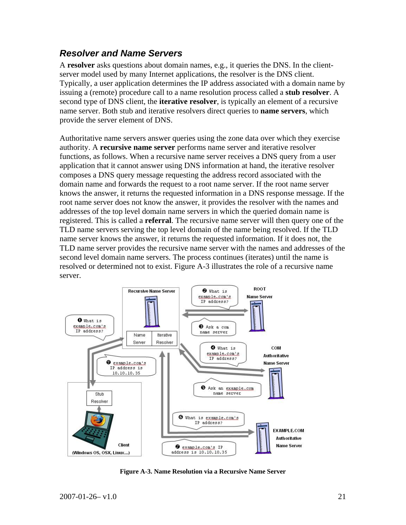#### *Resolver and Name Servers*

A **resolver** asks questions about domain names, e.g., it queries the DNS. In the clientserver model used by many Internet applications, the resolver is the DNS client. Typically, a user application determines the IP address associated with a domain name by issuing a (remote) procedure call to a name resolution process called a **stub resolver**. A second type of DNS client, the **iterative resolver**, is typically an element of a recursive name server. Both stub and iterative resolvers direct queries to **name servers**, which provide the server element of DNS.

Authoritative name servers answer queries using the zone data over which they exercise authority. A **recursive name server** performs name server and iterative resolver functions, as follows. When a recursive name server receives a DNS query from a user application that it cannot answer using DNS information at hand, the iterative resolver composes a DNS query message requesting the address record associated with the domain name and forwards the request to a root name server. If the root name server knows the answer, it returns the requested information in a DNS response message. If the root name server does not know the answer, it provides the resolver with the names and addresses of the top level domain name servers in which the queried domain name is registered. This is called a **referral**. The recursive name server will then query one of the TLD name servers serving the top level domain of the name being resolved. If the TLD name server knows the answer, it returns the requested information. If it does not, the TLD name server provides the recursive name server with the names and addresses of the second level domain name servers. The process continues (iterates) until the name is resolved or determined not to exist. Figure A-3 illustrates the role of a recursive name server.



**Figure A-3. Name Resolution via a Recursive Name Server**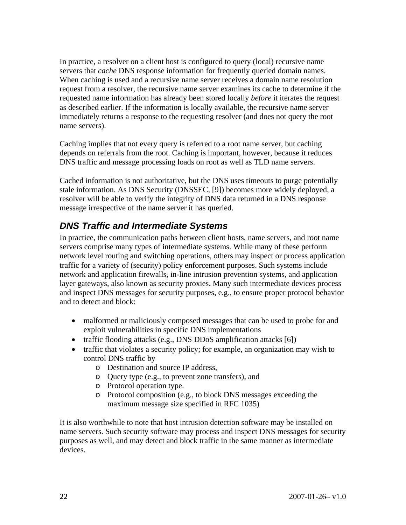In practice, a resolver on a client host is configured to query (local) recursive name servers that *cache* DNS response information for frequently queried domain names. When caching is used and a recursive name server receives a domain name resolution request from a resolver, the recursive name server examines its cache to determine if the requested name information has already been stored locally *before* it iterates the request as described earlier. If the information is locally available, the recursive name server immediately returns a response to the requesting resolver (and does not query the root name servers).

Caching implies that not every query is referred to a root name server, but caching depends on referrals from the root. Caching is important, however, because it reduces DNS traffic and message processing loads on root as well as TLD name servers.

Cached information is not authoritative, but the DNS uses timeouts to purge potentially stale information. As DNS Security (DNSSEC, [9]) becomes more widely deployed, a resolver will be able to verify the integrity of DNS data returned in a DNS response message irrespective of the name server it has queried.

## *DNS Traffic and Intermediate Systems*

In practice, the communication paths between client hosts, name servers, and root name servers comprise many types of intermediate systems. While many of these perform network level routing and switching operations, others may inspect or process application traffic for a variety of (security) policy enforcement purposes. Such systems include network and application firewalls, in-line intrusion prevention systems, and application layer gateways, also known as security proxies. Many such intermediate devices process and inspect DNS messages for security purposes, e.g., to ensure proper protocol behavior and to detect and block:

- malformed or maliciously composed messages that can be used to probe for and exploit vulnerabilities in specific DNS implementations
- traffic flooding attacks (e.g., DNS DDoS amplification attacks [6])
- traffic that violates a security policy; for example, an organization may wish to control DNS traffic by
	- o Destination and source IP address,
	- o Query type (e.g., to prevent zone transfers), and
	- o Protocol operation type.
	- o Protocol composition (e.g., to block DNS messages exceeding the maximum message size specified in RFC 1035)

It is also worthwhile to note that host intrusion detection software may be installed on name servers. Such security software may process and inspect DNS messages for security purposes as well, and may detect and block traffic in the same manner as intermediate devices.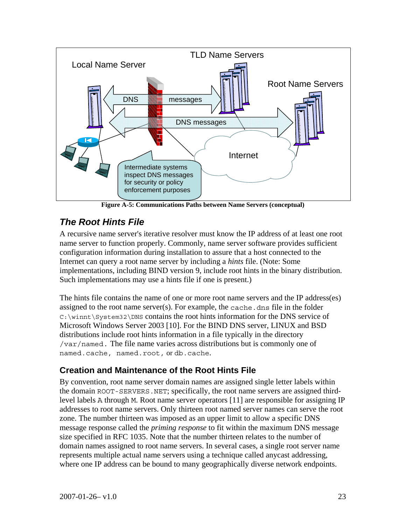

**Figure A-5: Communications Paths between Name Servers (conceptual)** 

## *The Root Hints File*

A recursive name server's iterative resolver must know the IP address of at least one root name server to function properly. Commonly, name server software provides sufficient configuration information during installation to assure that a host connected to the Internet can query a root name server by including a *hints* file. (Note: Some implementations, including BIND version 9, include root hints in the binary distribution. Such implementations may use a hints file if one is present.)

The hints file contains the name of one or more root name servers and the IP address(es) assigned to the root name server(s). For example, the cache. dns file in the folder C:\winnt\System32\DNS contains the root hints information for the DNS service of Microsoft Windows Server 2003 [10]. For the BIND DNS server, LINUX and BSD distributions include root hints information in a file typically in the directory /var/named. The file name varies across distributions but is commonly one of named.cache, named.root, or db.cache.

#### **Creation and Maintenance of the Root Hints File**

By convention, root name server domain names are assigned single letter labels within the domain ROOT-SERVERS.NET; specifically, the root name servers are assigned thirdlevel labels A through M. Root name server operators [11] are responsible for assigning IP addresses to root name servers. Only thirteen root named server names can serve the root zone. The number thirteen was imposed as an upper limit to allow a specific DNS message response called the *priming response* to fit within the maximum DNS message size specified in RFC 1035. Note that the number thirteen relates to the number of domain names assigned to root name servers. In several cases, a single root server name represents multiple actual name servers using a technique called anycast addressing, where one IP address can be bound to many geographically diverse network endpoints.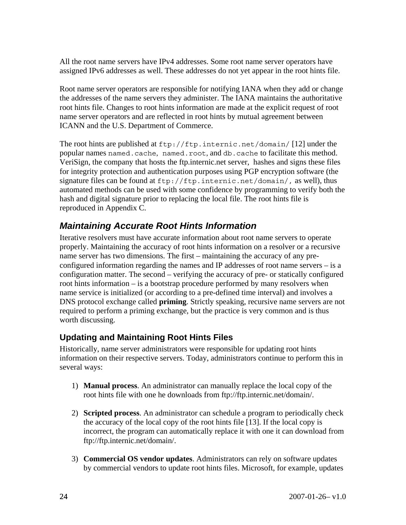All the root name servers have IPv4 addresses. Some root name server operators have assigned IPv6 addresses as well. These addresses do not yet appear in the root hints file.

Root name server operators are responsible for notifying IANA when they add or change the addresses of the name servers they administer. The IANA maintains the authoritative root hints file. Changes to root hints information are made at the explicit request of root name server operators and are reflected in root hints by mutual agreement between ICANN and the U.S. Department of Commerce.

The root hints are published at ftp://ftp.internic.net/domain/ [12] under the popular names named.cache, named.root, and db.cache to facilitate this method. VeriSign, the company that hosts the ftp.internic.net server, hashes and signs these files for integrity protection and authentication purposes using PGP encryption software (the signature files can be found at  $ftp://ftp.internic.net/domain/$ , as well), thus automated methods can be used with some confidence by programming to verify both the hash and digital signature prior to replacing the local file. The root hints file is reproduced in Appendix C.

## *Maintaining Accurate Root Hints Information*

Iterative resolvers must have accurate information about root name servers to operate properly. Maintaining the accuracy of root hints information on a resolver or a recursive name server has two dimensions. The first – maintaining the accuracy of any preconfigured information regarding the names and IP addresses of root name servers – is a configuration matter. The second – verifying the accuracy of pre- or statically configured root hints information – is a bootstrap procedure performed by many resolvers when name service is initialized (or according to a pre-defined time interval) and involves a DNS protocol exchange called **priming**. Strictly speaking, recursive name servers are not required to perform a priming exchange, but the practice is very common and is thus worth discussing.

#### **Updating and Maintaining Root Hints Files**

Historically, name server administrators were responsible for updating root hints information on their respective servers. Today, administrators continue to perform this in several ways:

- 1) **Manual process**. An administrator can manually replace the local copy of the root hints file with one he downloads from ftp://ftp.internic.net/domain/.
- 2) **Scripted process**. An administrator can schedule a program to periodically check the accuracy of the local copy of the root hints file [13]. If the local copy is incorrect, the program can automatically replace it with one it can download from ftp://ftp.internic.net/domain/.
- 3) **Commercial OS vendor updates**. Administrators can rely on software updates by commercial vendors to update root hints files. Microsoft, for example, updates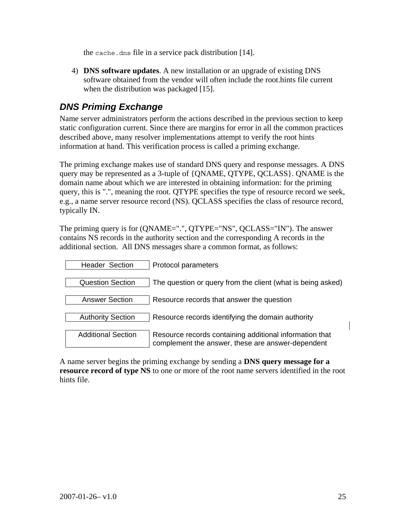the cache.dns file in a service pack distribution [14].

4) **DNS software updates**. A new installation or an upgrade of existing DNS software obtained from the vendor will often include the root.hints file current when the distribution was packaged [15].

### *DNS Priming Exchange*

Name server administrators perform the actions described in the previous section to keep static configuration current. Since there are margins for error in all the common practices described above, many resolver implementations attempt to verify the root hints information at hand. This verification process is called a priming exchange.

The priming exchange makes use of standard DNS query and response messages. A DNS query may be represented as a 3-tuple of {QNAME, QTYPE, QCLASS}. QNAME is the domain name about which we are interested in obtaining information: for the priming query, this is ".", meaning the root. QTYPE specifies the type of resource record we seek, e.g., a name server resource record (NS). QCLASS specifies the class of resource record, typically IN.

The priming query is for (QNAME=".", QTYPE="NS", QCLASS="IN"). The answer contains NS records in the authority section and the corresponding A records in the additional section. All DNS messages share a common format, as follows:

| <b>Header Section</b>     | Protocol parameters                                                                                          |
|---------------------------|--------------------------------------------------------------------------------------------------------------|
| <b>Question Section</b>   | The question or query from the client (what is being asked)                                                  |
| <b>Answer Section</b>     | Resource records that answer the question                                                                    |
| <b>Authority Section</b>  | Resource records identifying the domain authority                                                            |
| <b>Additional Section</b> | Resource records containing additional information that<br>complement the answer, these are answer-dependent |

A name server begins the priming exchange by sending a **DNS query message for a resource record of type NS** to one or more of the root name servers identified in the root hints file.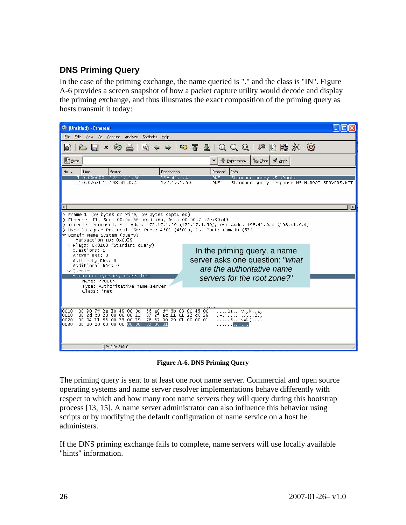#### **DNS Priming Query**

In the case of the priming exchange, the name queried is "." and the class is "IN". Figure A-6 provides a screen snapshot of how a packet capture utility would decode and display the priming exchange, and thus illustrates the exact composition of the priming query as hosts transmit it today:

| <b>C</b> (Untitled) - Ethereal                                                                                                                                                                                                     |                                                                                                                                                                                                                                                                                                                                                                                                                                                                                                                                                                                                                                                                                                                                                                                                                                           |
|------------------------------------------------------------------------------------------------------------------------------------------------------------------------------------------------------------------------------------|-------------------------------------------------------------------------------------------------------------------------------------------------------------------------------------------------------------------------------------------------------------------------------------------------------------------------------------------------------------------------------------------------------------------------------------------------------------------------------------------------------------------------------------------------------------------------------------------------------------------------------------------------------------------------------------------------------------------------------------------------------------------------------------------------------------------------------------------|
| Edit View Go Capture Analyze Statistics Help<br>File                                                                                                                                                                               |                                                                                                                                                                                                                                                                                                                                                                                                                                                                                                                                                                                                                                                                                                                                                                                                                                           |
| la)<br>$(\gamma)$<br>O.                                                                                                                                                                                                            | $\Rightarrow$ $\Rightarrow$ $\frac{1}{2}$ $\Rightarrow$ $\frac{1}{2}$ $\Rightarrow$ $\frac{1}{2}$ $\Rightarrow$ $\frac{1}{2}$ $\Rightarrow$ $\frac{1}{2}$ $\Rightarrow$ $\frac{1}{2}$ $\Rightarrow$ $\frac{1}{2}$ $\Rightarrow$ $\frac{1}{2}$ $\Rightarrow$ $\frac{1}{2}$ $\Rightarrow$ $\frac{1}{2}$ $\Rightarrow$ $\frac{1}{2}$ $\Rightarrow$ $\frac{1}{2}$ $\Rightarrow$ $\frac{1}{2}$ $\Rightarrow$ $\frac{1}{2}$ $\Rightarrow$<br><b>Ja</b><br>$\begin{picture}(42,14) \put(0,0){\line(1,0){155}} \put(1,0){\line(1,0){155}} \put(1,0){\line(1,0){155}} \put(1,0){\line(1,0){155}} \put(1,0){\line(1,0){155}} \put(1,0){\line(1,0){155}} \put(1,0){\line(1,0){155}} \put(1,0){\line(1,0){155}} \put(1,0){\line(1,0){155}} \put(1,0){\line(1,0){155}} \put(1,0){\line(1,0){155}} \put(1,0){\line(1$<br>$\mathbb{R} \times \mathbb{C}$ |
| J <sub>Eilter:</sub>                                                                                                                                                                                                               | $\sqrt{4}$ Apply<br>← Expression<br>Sclear                                                                                                                                                                                                                                                                                                                                                                                                                                                                                                                                                                                                                                                                                                                                                                                                |
| No.<br>Time<br>Source<br>Destination                                                                                                                                                                                               | Protocol<br>Info                                                                                                                                                                                                                                                                                                                                                                                                                                                                                                                                                                                                                                                                                                                                                                                                                          |
| 198.41.0.4<br>1 0.000000 172.17.1.50<br>2 0.076762<br>198.41.0.4<br>172.17.1.50                                                                                                                                                    | <b>DNS</b><br>Standard query NS <root><br/><b>DNS</b><br/>Standard query response NS H.ROOT-SERVERS.NET</root>                                                                                                                                                                                                                                                                                                                                                                                                                                                                                                                                                                                                                                                                                                                            |
|                                                                                                                                                                                                                                    |                                                                                                                                                                                                                                                                                                                                                                                                                                                                                                                                                                                                                                                                                                                                                                                                                                           |
|                                                                                                                                                                                                                                    |                                                                                                                                                                                                                                                                                                                                                                                                                                                                                                                                                                                                                                                                                                                                                                                                                                           |
|                                                                                                                                                                                                                                    | $\mathbf{E}$                                                                                                                                                                                                                                                                                                                                                                                                                                                                                                                                                                                                                                                                                                                                                                                                                              |
| User Datagram Protocol, Src Port: 4501 (4501), Dst Port: domain (53)<br>▽ Domain Name System (query)<br>Transaction ID: 0x0029<br>D Flags: 0x0100 (Standard query)                                                                 | $\vert$ D Internet Protocol, Src Addr: 172.17.1.50 (172.17.1.50), Dst Addr: 198.41.0.4 (198.41.0.4)                                                                                                                                                                                                                                                                                                                                                                                                                                                                                                                                                                                                                                                                                                                                       |
| Questions: 1<br>Answer RRs: 0<br>Authority RRs: 0<br>Additional RRs: 0<br>$\triangledown$ Queries                                                                                                                                  | In the priming query, a name<br>server asks one question: "what<br>are the authoritative name                                                                                                                                                                                                                                                                                                                                                                                                                                                                                                                                                                                                                                                                                                                                             |
| v <root>: type NS, class inet<br/>Name: <root></root></root>                                                                                                                                                                       | servers for the root zone?"                                                                                                                                                                                                                                                                                                                                                                                                                                                                                                                                                                                                                                                                                                                                                                                                               |
| Type: Authoritative name server<br>Class: inet                                                                                                                                                                                     |                                                                                                                                                                                                                                                                                                                                                                                                                                                                                                                                                                                                                                                                                                                                                                                                                                           |
| Ze 30 49 00 0d 56 a0 df 6b 08 00 45 00<br>10000<br>00 90 7f<br>2d c0 20 00 00 80 11 07 2f ac 11 01 32 c6 29<br>0010<br>00.<br>00 04 11 95 00 35 00 19 76 57 00 29 01 00 00 01<br>10020<br>0030<br>00 00 00 00 00 00 00 00 02 00 01 | OI VkE.<br>. 2. )                                                                                                                                                                                                                                                                                                                                                                                                                                                                                                                                                                                                                                                                                                                                                                                                                         |
| 2P: 2D: 2M: 0                                                                                                                                                                                                                      |                                                                                                                                                                                                                                                                                                                                                                                                                                                                                                                                                                                                                                                                                                                                                                                                                                           |

**Figure A-6. DNS Priming Query** 

The priming query is sent to at least one root name server. Commercial and open source operating systems and name server resolver implementations behave differently with respect to which and how many root name servers they will query during this bootstrap process [13, 15]. A name server administrator can also influence this behavior using scripts or by modifying the default configuration of name service on a host he administers.

If the DNS priming exchange fails to complete, name servers will use locally available "hints" information.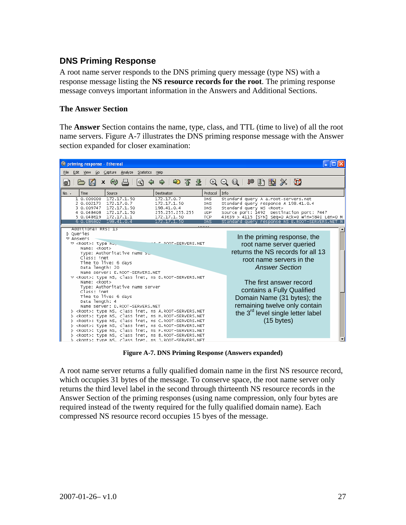#### **DNS Priming Response**

A root name server responds to the DNS priming query message (type NS) with a response message listing the **NS resource records for the root**. The priming response message conveys important information in the Answers and Additional Sections.

#### **The Answer Section**

The **Answer** Section contains the name, type, class, and TTL (time to live) of all the root name servers. Figure A-7 illustrates the DNS priming response message with the Answer section expanded for closer examination:



**Figure A-7. DNS Priming Response (Answers expanded)** 

A root name server returns a fully qualified domain name in the first NS resource record, which occupies 31 bytes of the message. To conserve space, the root name server only returns the third level label in the second through thirteenth NS resource records in the Answer Section of the priming responses (using name compression, only four bytes are required instead of the twenty required for the fully qualified domain name). Each compressed NS resource record occupies 15 byes of the message.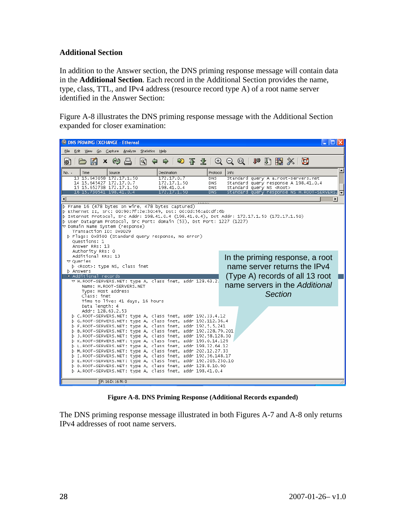#### **Additional Section**

In addition to the Answer section, the DNS priming response message will contain data in the **Additional Section**. Each record in the Additional Section provides the name, type, class, TTL, and IPv4 address (resource record type A) of a root name server identified in the Answer Section:

Figure A-8 illustrates the DNS priming response message with the Additional Section expanded for closer examination:

| C DNS PRIMING EXCHANGE - Ethereal                                                                                                                                                                                                                                                                                                                                                                                                                                                                                                                                                                                                                                                                                                                                                                                              |                                                                                                                                                                                               |
|--------------------------------------------------------------------------------------------------------------------------------------------------------------------------------------------------------------------------------------------------------------------------------------------------------------------------------------------------------------------------------------------------------------------------------------------------------------------------------------------------------------------------------------------------------------------------------------------------------------------------------------------------------------------------------------------------------------------------------------------------------------------------------------------------------------------------------|-----------------------------------------------------------------------------------------------------------------------------------------------------------------------------------------------|
| Edit<br><b>View</b><br>Go Capture Analyze Statistics<br>Help<br><b>File</b>                                                                                                                                                                                                                                                                                                                                                                                                                                                                                                                                                                                                                                                                                                                                                    |                                                                                                                                                                                               |
| $\infty$<br>$\boldsymbol{\mathsf{x}}$<br>l Q<br>國                                                                                                                                                                                                                                                                                                                                                                                                                                                                                                                                                                                                                                                                                                                                                                              |                                                                                                                                                                                               |
| Source<br>Destination<br>Protocol<br>$No. -$<br>Time<br>13 15.643058 172.17.1.50<br>172.17.0.7<br><b>DNS</b><br>14 15 64 54 27 172 17 0.7<br>172.17.1.50<br><b>DNS</b><br>15 15.652738 172.17.1.50<br>198.41.0.4<br><b>DNS</b><br>16 15.730541 198.41.0.4<br><b>DNS</b><br>172.17.1.50                                                                                                                                                                                                                                                                                                                                                                                                                                                                                                                                         | ᅬ<br>l Info<br>Standard query A a.root-servers.net<br>Standard query response A 198.41.0.4<br>Standard query NS <root><br/>Standard query response NS H.ROOT<br/>-SERVERS.<sup>1</sup></root> |
| $\triangleright$ Frame 16 (478 bytes on wire, 478 bytes captured)<br>D Ethernet II, Src: 00:90:7f:2e:30:49, Dst: 00:0d:56:a0:df:6b<br>p Internet Protocol, Src Addr: 198.41.0.4 (198.41.0.4), Dst Addr: 172.17.1.50 (172.17.1.50)<br>D User Datagram Protocol, Src Port: domain (53), Dst Port: 1227 (1227)<br>$\triangledown$ Domain Name System (response)<br>Transaction ID: 0x0029<br>D Flags: 0x8500 (Standard query response, No error)<br>Questions: 1<br>Answer RRs: 13<br>Authority RRs: 0<br>Additional RRs: 13                                                                                                                                                                                                                                                                                                      | In the priming response, a root                                                                                                                                                               |
| $\triangledown$ Queries<br>> <root>: type NS, class inet<br/><b>D</b> Answers<br/><math>\star</math> Additional records<br/>▽ H.ROOT-SERVERS.NET: type A, class inet, addr 128.63.2.<br/>Name: H. ROOT-SERVERS.NET<br/>Type: Host address<br/>Class: inet<br/>Time to live: 41 days, 16 hours<br/>Data length: 4</root>                                                                                                                                                                                                                                                                                                                                                                                                                                                                                                        | name server returns the IPv4<br>(Type A) records of all 13 root<br>name servers in the Additional<br><b>Section</b>                                                                           |
| Addr: 128.63.2.53<br>D C.ROOT-SERVERS.NET: type A, class inet, addr 192.33.4.12<br>D G.ROOT-SERVERS.NET: type A, class inet, addr 192.112.36.4<br>P F.ROOT-SERVERS.NET: type A, class inet, addr 192.5.5.241<br>D B.ROOT-SERVERS.NET: type A, class inet, addr 192.228.79.201<br>D J.ROOT-SERVERS.NET: type A, class inet, addr 192.58.128.30<br>D K.ROOT-SERVERS.NET: type A, class inet, addr 193.0.14.129<br>D L.ROOT-SERVERS.NET: type A, class inet, addr 198.32.64.12<br>D M.ROOT-SERVERS.NET: type A, class inet, addr 202.12.27.33<br>D I.ROOT-SERVERS.NET: type A, class inet, addr 192.36.148.17<br>D E.ROOT-SERVERS.NET: type A, class inet, addr 192.203.230.10<br>D D.ROOT-SERVERS.NET: type A, class inet, addr 128.8.10.90<br>D A.ROOT-SERVERS.NET: type A, class inet, addr 198.41.0.4<br>$E$ P: 16 D: 16 M: 0 |                                                                                                                                                                                               |

**Figure A-8. DNS Priming Response (Additional Records expanded)** 

The DNS priming response message illustrated in both Figures A-7 and A-8 only returns IPv4 addresses of root name servers.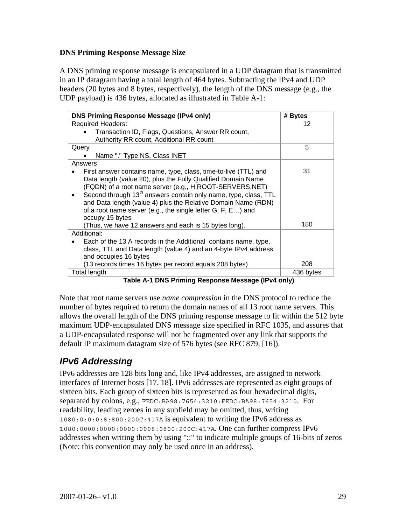#### **DNS Priming Response Message Size**

A DNS priming response message is encapsulated in a UDP datagram that is transmitted in an IP datagram having a total length of 464 bytes. Subtracting the IPv4 and UDP headers (20 bytes and 8 bytes, respectively), the length of the DNS message (e.g., the UDP payload) is 436 bytes, allocated as illustrated in Table A-1:

| <b>DNS Priming Response Message (IPv4 only)</b>                                                                                                                                                                                                                                                                                                                                                                                                                                       | # Bytes   |
|---------------------------------------------------------------------------------------------------------------------------------------------------------------------------------------------------------------------------------------------------------------------------------------------------------------------------------------------------------------------------------------------------------------------------------------------------------------------------------------|-----------|
| <b>Required Headers:</b>                                                                                                                                                                                                                                                                                                                                                                                                                                                              | 12        |
| Transaction ID, Flags, Questions, Answer RR count,                                                                                                                                                                                                                                                                                                                                                                                                                                    |           |
| Authority RR count, Additional RR count                                                                                                                                                                                                                                                                                                                                                                                                                                               |           |
| Query                                                                                                                                                                                                                                                                                                                                                                                                                                                                                 | 5         |
| Name "." Type NS, Class INET                                                                                                                                                                                                                                                                                                                                                                                                                                                          |           |
| Answers:                                                                                                                                                                                                                                                                                                                                                                                                                                                                              |           |
| First answer contains name, type, class, time-to-live (TTL) and<br>Data length (value 20), plus the Fully Qualified Domain Name<br>(FQDN) of a root name server (e.g., H.ROOT-SERVERS.NET)<br>Second through 13 <sup>th</sup> answers contain only name, type, class, TTL<br>and Data length (value 4) plus the Relative Domain Name (RDN)<br>of a root name server (e.g., the single letter G, F, E) and<br>occupy 15 bytes<br>(Thus, we have 12 answers and each is 15 bytes long). | 31<br>180 |
| Additional:                                                                                                                                                                                                                                                                                                                                                                                                                                                                           |           |
| Each of the 13 A records in the Additional contains name, type,<br>class, TTL and Data length (value 4) and an 4-byte IPv4 address<br>and occupies 16 bytes                                                                                                                                                                                                                                                                                                                           |           |
| (13 records times 16 bytes per record equals 208 bytes)                                                                                                                                                                                                                                                                                                                                                                                                                               | 208       |
| Total length                                                                                                                                                                                                                                                                                                                                                                                                                                                                          | 436 bytes |

**Table A-1 DNS Priming Response Message (IPv4 only)** 

Note that root name servers use *name compression* in the DNS protocol to reduce the number of bytes required to return the domain names of all 13 root name servers. This allows the overall length of the DNS priming response message to fit within the 512 byte maximum UDP-encapsulated DNS message size specified in RFC 1035, and assures that a UDP-encapsulated response will not be fragmented over any link that supports the default IP maximum datagram size of 576 bytes (see RFC 879, [16]).

## *IPv6 Addressing*

IPv6 addresses are 128 bits long and, like IPv4 addresses, are assigned to network interfaces of Internet hosts [17, 18]. IPv6 addresses are represented as eight groups of sixteen bits. Each group of sixteen bits is represented as four hexadecimal digits, separated by colons, e.g., FEDC:BA98:7654:3210:FEDC:BA98:7654:3210. For readability, leading zeroes in any subfield may be omitted, thus, writing 1080:0:0:0:8:800:200C:417A is equivalent to writing the IPv6 address as 1080:0000:0000:0000:0008:0800:200C:417A. One can further compress IPv6 addresses when writing them by using "::" to indicate multiple groups of 16-bits of zeros (Note: this convention may only be used once in an address).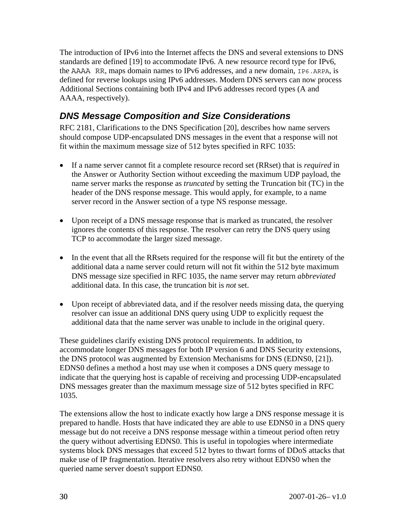The introduction of IPv6 into the Internet affects the DNS and several extensions to DNS standards are defined [19] to accommodate IPv6. A new resource record type for IPv6, the AAAA RR, maps domain names to IPv6 addresses, and a new domain,  $IP6$ . ARPA, is defined for reverse lookups using IPv6 addresses. Modern DNS servers can now process Additional Sections containing both IPv4 and IPv6 addresses record types (A and AAAA, respectively).

## *DNS Message Composition and Size Considerations*

RFC 2181, Clarifications to the DNS Specification [20], describes how name servers should compose UDP-encapsulated DNS messages in the event that a response will not fit within the maximum message size of 512 bytes specified in RFC 1035:

- If a name server cannot fit a complete resource record set (RRset) that is *required* in the Answer or Authority Section without exceeding the maximum UDP payload, the name server marks the response as *truncated* by setting the Truncation bit (TC) in the header of the DNS response message. This would apply, for example, to a name server record in the Answer section of a type NS response message.
- Upon receipt of a DNS message response that is marked as truncated, the resolver ignores the contents of this response. The resolver can retry the DNS query using TCP to accommodate the larger sized message.
- In the event that all the RRsets required for the response will fit but the entirety of the additional data a name server could return will not fit within the 512 byte maximum DNS message size specified in RFC 1035, the name server may return *abbreviated*  additional data. In this case, the truncation bit is *not* set.
- Upon receipt of abbreviated data, and if the resolver needs missing data, the querying resolver can issue an additional DNS query using UDP to explicitly request the additional data that the name server was unable to include in the original query.

These guidelines clarify existing DNS protocol requirements. In addition, to accommodate longer DNS messages for both IP version 6 and DNS Security extensions, the DNS protocol was augmented by Extension Mechanisms for DNS (EDNS0, [21]). EDNS0 defines a method a host may use when it composes a DNS query message to indicate that the querying host is capable of receiving and processing UDP-encapsulated DNS messages greater than the maximum message size of 512 bytes specified in RFC 1035.

The extensions allow the host to indicate exactly how large a DNS response message it is prepared to handle. Hosts that have indicated they are able to use EDNS0 in a DNS query message but do not receive a DNS response message within a timeout period often retry the query without advertising EDNS0. This is useful in topologies where intermediate systems block DNS messages that exceed 512 bytes to thwart forms of DDoS attacks that make use of IP fragmentation. Iterative resolvers also retry without EDNS0 when the queried name server doesn't support EDNS0.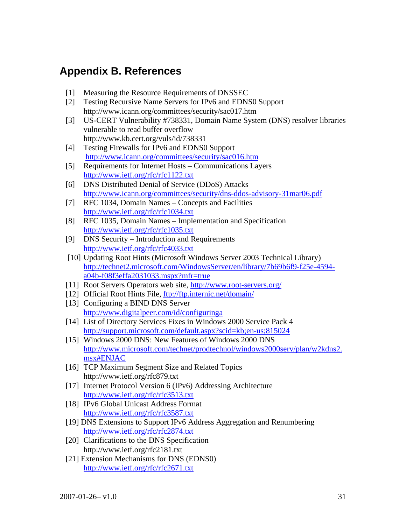## **Appendix B. References**

- [1] Measuring the Resource Requirements of DNSSEC
- [2] Testing Recursive Name Servers for IPv6 and EDNS0 Support http://www.icann.org/committees/security/sac017.htm
- [3] US-CERT Vulnerability #738331, Domain Name System (DNS) resolver libraries vulnerable to read buffer overflow http://www.kb.cert.org/vuls/id/738331
- [4] Testing Firewalls for IPv6 and EDNS0 Support http://www.icann.org/committees/security/sac016.htm
- [5] Requirements for Internet Hosts Communications Layers http://www.ietf.org/rfc/rfc1122.txt
- [6] DNS Distributed Denial of Service (DDoS) Attacks http://www.icann.org/committees/security/dns-ddos-advisory-31mar06.pdf
- [7] RFC 1034, Domain Names Concepts and Facilities http://www.ietf.org/rfc/rfc1034.txt
- [8] RFC 1035, Domain Names Implementation and Specification http://www.ietf.org/rfc/rfc1035.txt
- [9] DNS Security Introduction and Requirements http://www.ietf.org/rfc/rfc4033.txt
- [10] Updating Root Hints (Microsoft Windows Server 2003 Technical Library) http://technet2.microsoft.com/WindowsServer/en/library/7b69b6f9-f25e-4594 a04b-f08f3effa2031033.mspx?mfr=true
- [11] Root Servers Operators web site, http://www.root-servers.org/
- [12] Official Root Hints File, ftp://ftp.internic.net/domain/
- [13] Configuring a BIND DNS Server http://www.digitalpeer.com/id/configuringa
- [14] List of Directory Services Fixes in Windows 2000 Service Pack 4 http://support.microsoft.com/default.aspx?scid=kb;en-us;815024
- [15] Windows 2000 DNS: New Features of Windows 2000 DNS http://www.microsoft.com/technet/prodtechnol/windows2000serv/plan/w2kdns2. msx#ENJAC
- [16] TCP Maximum Segment Size and Related Topics http://www.ietf.org/rfc879.txt
- [17] Internet Protocol Version 6 (IPv6) Addressing Architecture http://www.ietf.org/rfc/rfc3513.txt
- [18] IPv6 Global Unicast Address Format http://www.ietf.org/rfc/rfc3587.txt
- [19] DNS Extensions to Support IPv6 Address Aggregation and Renumbering http://www.ietf.org/rfc/rfc2874.txt
- [20] Clarifications to the DNS Specification http://www.ietf.org/rfc2181.txt
- [21] Extension Mechanisms for DNS (EDNS0) http://www.ietf.org/rfc/rfc2671.txt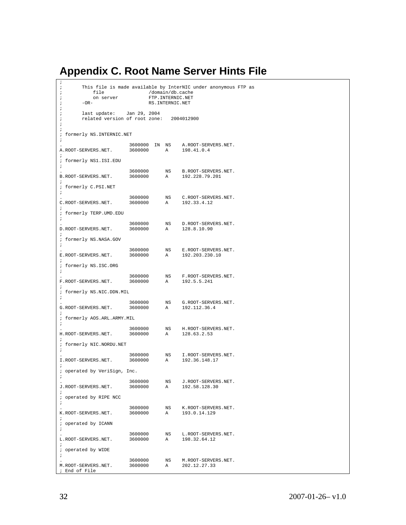# **Appendix C. Root Name Server Hints File**

| ï<br>$\ddot{\phantom{0}}$<br>file<br>$\ddot{\phantom{0}}$<br>on server<br>ï<br>$-OR-$<br>ï                                               |                    | /domain/db.cache<br>FTP. INTERNIC.NET<br>RS.INTERNIC.NET | This file is made available by InterNIC under anonymous FTP as |  |
|------------------------------------------------------------------------------------------------------------------------------------------|--------------------|----------------------------------------------------------|----------------------------------------------------------------|--|
| $\ddot{\phantom{0}}$<br>last update: Jan 29, 2004<br>ï<br>related version of root zone: 2004012900<br>$\ddot{i}$<br>$\ddot{\phantom{0}}$ |                    |                                                          |                                                                |  |
| ; formerly NS. INTERNIC.NET<br>$\cdot$                                                                                                   |                    |                                                          |                                                                |  |
| A.ROOT-SERVERS.NET.                                                                                                                      | 3600000 A          |                                                          | 3600000 IN NS A.ROOT-SERVERS.NET.<br>198.41.0.4                |  |
| $\cdot$<br>; formerly NS1.ISI.EDU<br>$\ddot{i}$                                                                                          |                    |                                                          |                                                                |  |
| B.ROOT-SERVERS.NET.<br>$\cdot$                                                                                                           | 3600000            | NS                                                       | B.ROOT-SERVERS.NET.<br>3600000 A 192.228.79.201                |  |
| ; formerly C.PSI.NET<br>$\ddot{i}$                                                                                                       |                    |                                                          |                                                                |  |
| C.ROOT-SERVERS.NET.                                                                                                                      | 3600000            | A                                                        | 3600000 NS C.ROOT-SERVERS.NET.<br>192.33.4.12                  |  |
| ; formerly TERP.UMD.EDU                                                                                                                  |                    |                                                          |                                                                |  |
| D.ROOT-SERVERS.NET.                                                                                                                      | 3600000<br>3600000 | NS<br>A                                                  | D.ROOT-SERVERS.NET.<br>128.8.10.90                             |  |
| $\ddot{i}$<br>; formerly NS.NASA.GOV<br>$\ddot{i}$                                                                                       |                    |                                                          |                                                                |  |
| E.ROOT-SERVERS.NET.                                                                                                                      | 3600000<br>3600000 | $_{\rm NS}$<br>A                                         | E.ROOT-SERVERS.NET.<br>192.203.230.10                          |  |
| ÷<br>; formerly NS.ISC.ORG<br>$\ddot{i}$                                                                                                 |                    |                                                          |                                                                |  |
| F.ROOT-SERVERS.NET.                                                                                                                      | 3600000<br>3600000 | $\mathbb A$                                              | NS F.ROOT-SERVERS.NET.<br>192.5.5.241                          |  |
| ; formerly NS.NIC.DDN.MIL<br>$\ddot{i}$                                                                                                  |                    |                                                          |                                                                |  |
| G.ROOT-SERVERS.NET.                                                                                                                      | 3600000            | $_{\rm NS}$                                              | G.ROOT-SERVERS.NET.<br>3600000 A 192.112.36.4                  |  |
| $\ddot{i}$<br>; formerly AOS.ARL.ARMY.MIL<br>$\ddot{i}$                                                                                  |                    |                                                          |                                                                |  |
| H.ROOT-SERVERS.NET.<br>$\ddot{i}$                                                                                                        | 3600000<br>3600000 | $\mathbb A$                                              | NS H.ROOT-SERVERS.NET.<br>128.63.2.53                          |  |
| ; formerly NIC.NORDU.NET<br>$\cdot$                                                                                                      |                    |                                                          |                                                                |  |
| I.ROOT-SERVERS.NET.                                                                                                                      | 3600000<br>3600000 | NS<br>A                                                  | I.ROOT-SERVERS.NET.<br>192.36.148.17                           |  |
| $\ddot{i}$<br>; operated by VeriSign, Inc.                                                                                               |                    |                                                          |                                                                |  |
| J.ROOT-SERVERS.NET.                                                                                                                      | 3600000<br>3600000 | NS<br>Α                                                  | J.ROOT-SERVERS.NET.<br>192.58.128.30                           |  |
| $\ddot{i}$<br>; operated by RIPE NCC<br>$\ddot{i}$                                                                                       |                    |                                                          |                                                                |  |
| K.ROOT-SERVERS.NET.                                                                                                                      | 3600000<br>3600000 | NS<br>$\mathbb A$                                        | K.ROOT-SERVERS.NET.<br>193.0.14.129                            |  |
| ï<br>; operated by ICANN<br>$\ddot{i}$                                                                                                   |                    |                                                          |                                                                |  |
| L.ROOT-SERVERS.NET.                                                                                                                      | 3600000<br>3600000 | NS<br>A                                                  | L.ROOT-SERVERS.NET.<br>198.32.64.12                            |  |
| $\ddot{i}$<br>; operated by WIDE                                                                                                         |                    |                                                          |                                                                |  |
| M. ROOT-SERVERS.NET.<br>; End of File                                                                                                    | 3600000<br>3600000 | NS<br>A                                                  | M. ROOT-SERVERS.NET.<br>202.12.27.33                           |  |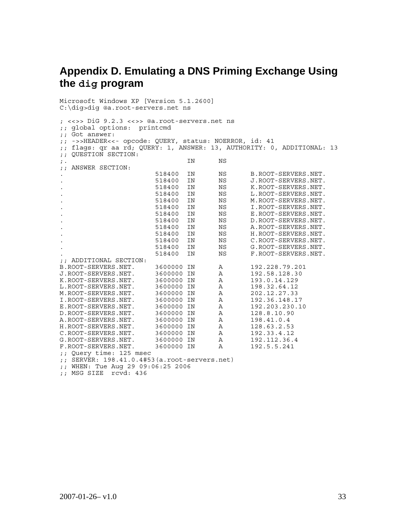## **Appendix D. Emulating a DNS Priming Exchange Using the dig program**

Microsoft Windows XP [Version 5.1.2600] C:\dig>dig @a.root-servers.net ns ; <<>> DiG 9.2.3 <<>> @a.root-servers.net ns ;; global options: printcmd ;; Got answer: ;; ->>HEADER<<- opcode: QUERY, status: NOERROR, id: 41 ;; flags: qr aa rd; QUERY: 1, ANSWER: 13, AUTHORITY: 0, ADDITIONAL: 13 ;; QUESTION SECTION: ;. IN NS ;; ANSWER SECTION: . 518400 IN NS B.ROOT-SERVERS.NET. . 518400 IN NS J.ROOT-SERVERS.NET. . 518400 IN NS K.ROOT-SERVERS.NET. . 518400 IN NS L.ROOT-SERVERS.NET. . 518400 IN NS M.ROOT-SERVERS.NET. . 518400 IN NS I.ROOT-SERVERS.NET. . 518400 IN NS E.ROOT-SERVERS.NET. . 518400 IN NS D.ROOT-SERVERS.NET. . 518400 IN NS A.ROOT-SERVERS.NET. . 518400 IN NS H.ROOT-SERVERS.NET. . 518400 IN NS C.ROOT-SERVERS.NET. . 518400 IN NS G.ROOT-SERVERS.NET. . 518400 IN NS F.ROOT-SERVERS.NET. ;; ADDITIONAL SECTION: B.ROOT-SERVERS.NET. 3600000 IN A 192.228.79.201 J.ROOT-SERVERS.NET. 3600000 IN A 192.58.128.30 K.ROOT-SERVERS.NET. 3600000 IN A 193.0.14.129 L.ROOT-SERVERS.NET. 3600000 IN A 198.32.64.12 M.ROOT-SERVERS.NET. 3600000 IN A 202.12.27.33 I.ROOT-SERVERS.NET. 3600000 IN A 192.36.148.17 E.ROOT-SERVERS.NET. 3600000 IN A 192.203.230.10 D.ROOT-SERVERS.NET. 3600000 IN A 128.8.10.90 A.ROOT-SERVERS.NET. 3600000 IN A 198.41.0.4 H.ROOT-SERVERS.NET. 3600000 IN A 128.63.2.53 C.ROOT-SERVERS.NET. 3600000 IN A 192.33.4.12 G.ROOT-SERVERS.NET. 3600000 IN A 192.112.36.4 F.ROOT-SERVERS.NET. 3600000 IN A 192.5.5.241 ;; Query time: 125 msec ;; SERVER: 198.41.0.4#53(a.root-servers.net) ;; WHEN: Tue Aug 29 09:06:25 2006

;; MSG SIZE rcvd: 436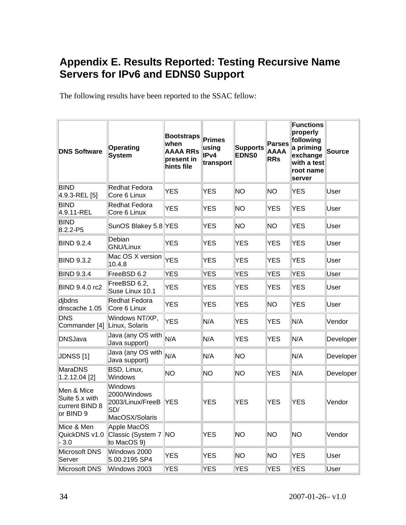# **Appendix E. Results Reported: Testing Recursive Name Servers for IPv6 and EDNS0 Support**

The following results have been reported to the SSAC fellow:

| <b>DNS Software</b>                                         | Operating<br><b>System</b>                                           | <b>Bootstraps</b><br>when<br><b>AAAA RRs</b><br>present in<br>hints file | <b>Primes</b><br>using<br>IP <sub>v4</sub><br>transport | <b>Supports</b><br><b>EDNS0</b> | <b>Parses</b><br><b>AAAA</b><br><b>RRs</b> | <b>Functions</b><br>properly<br>following<br>a priming<br>exchange<br>with a test<br>root name<br>server | <b>Source</b> |
|-------------------------------------------------------------|----------------------------------------------------------------------|--------------------------------------------------------------------------|---------------------------------------------------------|---------------------------------|--------------------------------------------|----------------------------------------------------------------------------------------------------------|---------------|
| <b>BIND</b><br>4.9.3-REL [5]                                | Redhat Fedora<br>Core 6 Linux                                        | <b>YES</b>                                                               | <b>YES</b>                                              | NO.                             | <b>NO</b>                                  | <b>YES</b>                                                                                               | User          |
| <b>BIND</b><br>4.9.11-REL                                   | Redhat Fedora<br>Core 6 Linux                                        | <b>YES</b>                                                               | <b>YES</b>                                              | NO.                             | <b>YES</b>                                 | <b>YES</b>                                                                                               | User          |
| <b>BIND</b><br>8.2.2-P5                                     | SunOS Blakey 5.8 YES                                                 |                                                                          | <b>YES</b>                                              | NO.                             | NO.                                        | <b>YES</b>                                                                                               | User          |
| <b>BIND 9.2.4</b>                                           | Debian<br><b>GNU/Linux</b>                                           | <b>YES</b>                                                               | <b>YES</b>                                              | <b>YES</b>                      | <b>YES</b>                                 | <b>YES</b>                                                                                               | User          |
| <b>BIND 9.3.2</b>                                           | Mac OS $X$ version $YES$<br>10.4.8                                   |                                                                          | <b>YES</b>                                              | <b>YES</b>                      | <b>YES</b>                                 | <b>YES</b>                                                                                               | User          |
| <b>BIND 9.3.4</b>                                           | FreeBSD 6.2                                                          | <b>YES</b>                                                               | <b>YES</b>                                              | <b>YES</b>                      | <b>YES</b>                                 | <b>YES</b>                                                                                               | User          |
| BIND 9.4.0 rc2                                              | FreeBSD 6.2,<br>Suse Linux 10.1                                      | <b>YES</b>                                                               | <b>YES</b>                                              | <b>YES</b>                      | <b>YES</b>                                 | <b>YES</b>                                                                                               | User          |
| dibdns<br>dnscache 1.05                                     | Redhat Fedora<br>Core 6 Linux                                        | <b>YES</b>                                                               | <b>YES</b>                                              | <b>YES</b>                      | NO.                                        | <b>YES</b>                                                                                               | User          |
| <b>DNS</b><br>Commander [4]                                 | Windows NT/XP,<br>Linux, Solaris                                     | <b>YES</b>                                                               | N/A                                                     | <b>YES</b>                      | <b>YES</b>                                 | N/A                                                                                                      | Vendor        |
| <b>DNSJava</b>                                              | Java (any OS with<br>Java support)                                   | N/A                                                                      | N/A                                                     | <b>YES</b>                      | <b>YES</b>                                 | N/A                                                                                                      | Developer     |
| <b>JDNSS</b> [1]                                            | Java (any OS with<br>Java support)                                   | N/A                                                                      | N/A                                                     | NO.                             |                                            | N/A                                                                                                      | Developer     |
| <b>MaraDNS</b><br>$1.2.12.04$ [2]                           | BSD, Linux,<br>Windows                                               | <b>NO</b>                                                                | <b>NO</b>                                               | NO.                             | <b>YES</b>                                 | N/A                                                                                                      | Developer     |
| Men & Mice<br>Suite 5.x with<br>current BIND 8<br>or BIND 9 | Windows<br>2000/Windows<br>2003/Linux/FreeB<br>SD/<br>MacOSX/Solaris | <b>YES</b>                                                               | <b>YES</b>                                              | <b>YES</b>                      | <b>YES</b>                                 | <b>YES</b>                                                                                               | Vendor        |
| Mice & Men<br>QuickDNS v1.0<br>$-3.0$                       | Apple MacOS<br>Classic (System 7   NO<br>to MacOS 9)                 |                                                                          | <b>YES</b>                                              | <b>NO</b>                       | NO.                                        | NO                                                                                                       | Vendor        |
| Microsoft DNS<br>Server                                     | Windows 2000<br>5.00.2195 SP4                                        | <b>YES</b>                                                               | <b>YES</b>                                              | <b>NO</b>                       | NO                                         | <b>YES</b>                                                                                               | User          |
| <b>Microsoft DNS</b>                                        | Windows 2003                                                         | <b>YES</b>                                                               | <b>YES</b>                                              | <b>YES</b>                      | <b>YES</b>                                 | <b>YES</b>                                                                                               | User          |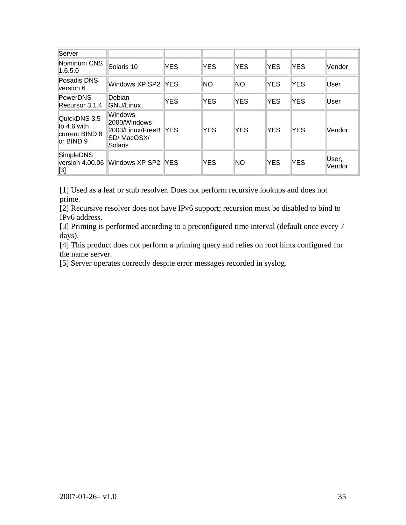| Server                                                     |                                                                       |             |            |            |            |            |                 |
|------------------------------------------------------------|-----------------------------------------------------------------------|-------------|------------|------------|------------|------------|-----------------|
| Nominum CNS<br>1.6.5.0                                     | Solaris 10                                                            | <b>YES</b>  | <b>YES</b> | <b>YES</b> | <b>YES</b> | <b>YES</b> | Vendor          |
| Posadis DNS<br>version 6                                   | Windows XP SP2 IYES                                                   |             | <b>NO</b>  | <b>NO</b>  | <b>YES</b> | <b>YES</b> | User            |
| <b>PowerDNS</b><br>Recursor 3.1.4                          | Debian<br><b>GNU/Linux</b>                                            | <b>YES</b>  | <b>YES</b> | <b>YES</b> | <b>YES</b> | <b>YES</b> | User            |
| QuickDNS 3.5<br>to 4.6 with<br>current BIND 8<br>or BIND 9 | Windows<br>2000/Windows<br>2003/Linux/FreeB<br>SD/ MacOSX/<br>Solaris | <b>IYES</b> | <b>YES</b> | <b>YES</b> | <b>YES</b> | <b>YES</b> | Vendor          |
| <b>SimpleDNS</b><br>version 4.00.06<br>[3]                 | Windows XP SP2 IYES                                                   |             | <b>YES</b> | <b>NO</b>  | <b>YES</b> | <b>YES</b> | User,<br>Vendor |

[1] Used as a leaf or stub resolver. Does not perform recursive lookups and does not prime.

[2] Recursive resolver does not have IPv6 support; recursion must be disabled to bind to IPv6 address.

[3] Priming is performed according to a preconfigured time interval (default once every 7 days).

[4] This product does not perform a priming query and relies on root hints configured for the name server.

[5] Server operates correctly despite error messages recorded in syslog.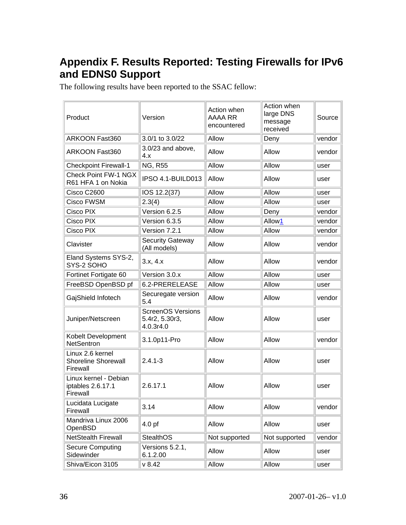# **Appendix F. Results Reported: Testing Firewalls for IPv6 and EDNS0 Support**

The following results have been reported to the SSAC fellow:

| Product                                                    | Version                                                 | Action when<br>AAAA RR<br>encountered | Action when<br>large DNS<br>message<br>received | Source |
|------------------------------------------------------------|---------------------------------------------------------|---------------------------------------|-------------------------------------------------|--------|
| ARKOON Fast360                                             | 3.0/1 to 3.0/22                                         | Allow                                 | Deny                                            | vendor |
| ARKOON Fast360                                             | 3.0/23 and above,<br>4.x                                | Allow                                 | Allow                                           | vendor |
| <b>Checkpoint Firewall-1</b>                               | <b>NG, R55</b>                                          | Allow                                 | Allow                                           | user   |
| <b>Check Point FW-1 NGX</b><br>R61 HFA 1 on Nokia          | IPSO 4.1-BUILD013                                       | Allow                                 | Allow                                           | user   |
| Cisco C2600                                                | IOS 12.2(37)                                            | Allow                                 | Allow                                           | user   |
| Cisco FWSM                                                 | 2.3(4)                                                  | Allow                                 | Allow                                           | user   |
| Cisco PIX                                                  | Version 6.2.5                                           | Allow                                 | Deny                                            | vendor |
| Cisco PIX                                                  | Version 6.3.5                                           | Allow                                 | Allow1                                          | vendor |
| Cisco PIX                                                  | Version 7.2.1                                           | Allow                                 | Allow                                           | vendor |
| Clavister                                                  | <b>Security Gateway</b><br>(All models)                 | Allow                                 | Allow                                           | vendor |
| Eland Systems SYS-2,<br>SYS-2 SOHO                         | 3.x, 4.x                                                | Allow                                 | Allow                                           | vendor |
| Fortinet Fortigate 60                                      | Version 3.0.x                                           | Allow                                 | Allow                                           | user   |
| FreeBSD OpenBSD pf                                         | 6.2-PRERELEASE                                          | Allow                                 | Allow                                           | user   |
| GajShield Infotech                                         | Securegate version<br>5.4                               | Allow                                 | Allow                                           | vendor |
| Juniper/Netscreen                                          | <b>ScreenOS Versions</b><br>5.4r2, 5.30r3,<br>4.0.3r4.0 | Allow                                 | Allow                                           | user   |
| Kobelt Development<br><b>NetSentron</b>                    | 3.1.0p11-Pro                                            | Allow                                 | Allow                                           | vendor |
| Linux 2.6 kernel<br><b>Shoreline Shorewall</b><br>Firewall | $2.4.1 - 3$                                             | Allow                                 | Allow                                           | user   |
| Linux kernel - Debian<br>iptables 2.6.17.1<br>Firewall     | 2.6.17.1                                                | Allow                                 | Allow                                           | user   |
| Lucidata Lucigate<br>Firewall                              | 3.14                                                    | Allow                                 | Allow                                           | vendor |
| Mandriva Linux 2006<br>OpenBSD                             | 4.0 <sub>pf</sub>                                       | Allow                                 | Allow                                           | user   |
| <b>NetStealth Firewall</b>                                 | StealthOS                                               | Not supported                         | Not supported                                   | vendor |
| <b>Secure Computing</b><br>Sidewinder                      | Versions 5.2.1,<br>6.1.2.00                             | Allow                                 | Allow                                           | user   |
| Shiva/Eicon 3105                                           | v 8.42                                                  | Allow                                 | Allow                                           | user   |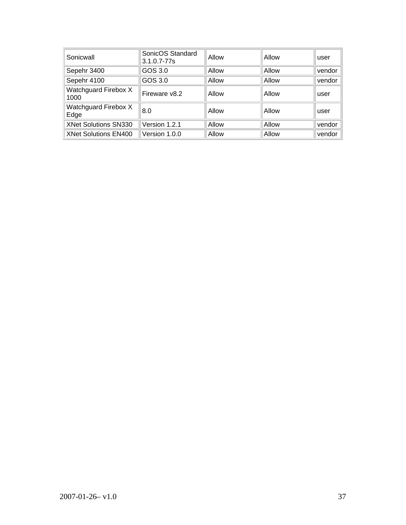| Sonicwall                    | SonicOS Standard<br>3.1.0.7-77s | Allow | Allow | user   |
|------------------------------|---------------------------------|-------|-------|--------|
| Sepehr 3400                  | GOS 3.0                         | Allow | Allow | vendor |
| Sepehr 4100                  | GOS 3.0                         | Allow | Allow | vendor |
| Watchguard Firebox X<br>1000 | Fireware v8.2                   | Allow | Allow | user   |
| Watchguard Firebox X<br>Edge | 8.0                             | Allow | Allow | user   |
| <b>XNet Solutions SN330</b>  | Version 1.2.1                   | Allow | Allow | vendor |
| <b>XNet Solutions EN400</b>  | Version 1.0.0                   | Allow | Allow | vendor |